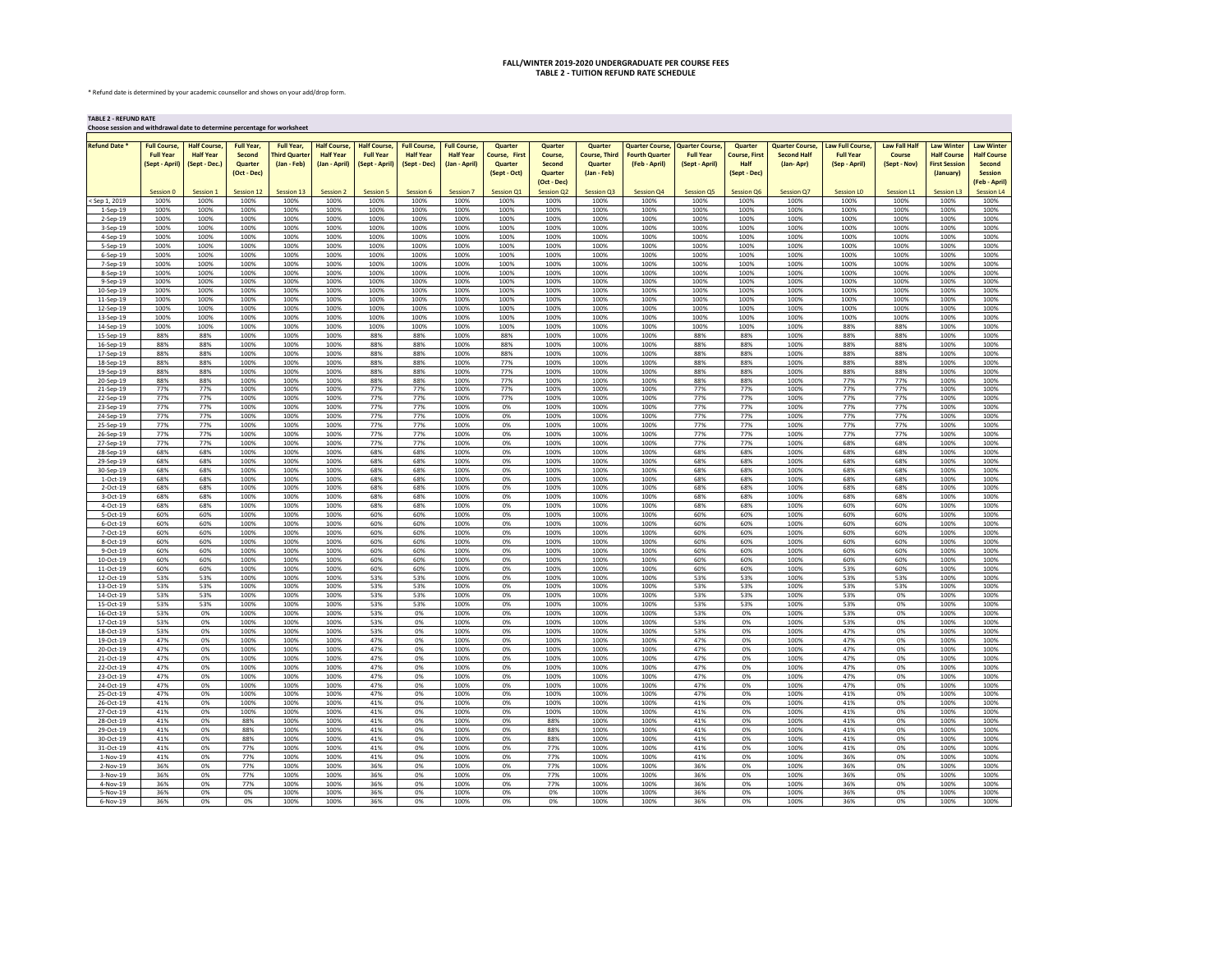## **FALL/WINTER 2019-2020 UNDERGRADUATE PER COURSE FEES TABLE 2 - TUITION REFUND RATE SCHEDULE**

\* Refund date is determined by your academic counsellor and shows on your add/drop form.

**TABLE 2 - REFUND RATE**

| Choose session and withdrawal date to determine percentage for worksheet |                     |                     |                   |                     |                     |                     |                     |                     |                   |                   |                      |                        |                       |                      |                        |                   |                      |                      |                     |
|--------------------------------------------------------------------------|---------------------|---------------------|-------------------|---------------------|---------------------|---------------------|---------------------|---------------------|-------------------|-------------------|----------------------|------------------------|-----------------------|----------------------|------------------------|-------------------|----------------------|----------------------|---------------------|
| <b>Refund Date</b>                                                       | <b>Full Course.</b> | <b>Half Course.</b> | <b>Full Year.</b> | <b>Full Year.</b>   | <b>Half Course.</b> | <b>Half Course.</b> | <b>Full Course,</b> | <b>Full Course,</b> | <b>Quarter</b>    | Quarter           | Quarter              | <b>Quarter Course.</b> | <b>Quarter Course</b> | Quarter              | <b>Quarter Course.</b> | Law Full Course,  | <b>Law Fall Half</b> | <b>Law Winter</b>    | <b>Law Winter</b>   |
|                                                                          | <b>Full Year</b>    | <b>Half Year</b>    | Second            | <b>Third Quarte</b> | <b>Half Year</b>    | <b>Full Year</b>    | <b>Half Year</b>    | <b>Half Year</b>    | Course, First     | Course.           | <b>Course, Third</b> | <b>Fourth Quarter</b>  | <b>Full Year</b>      | <b>Course, First</b> | <b>Second Half</b>     | <b>Full Year</b>  | Course               | <b>Half Course</b>   | <b>Half Course</b>  |
|                                                                          | (Sept - April)      | (Sept - Dec.)       | Quarter           | (Jan - Feb)         | (Jan - April)       | (Sept - April)      | (Sept - Dec)        | (Jan - April)       | Quarter           | Second            | Quarter              | (Feb - April)          | (Sept - April)        | Half                 | (Jan-Apr)              | (Sep - April)     | (Sept - Nov)         | <b>First Session</b> | Second              |
|                                                                          |                     |                     | (Oct - Dec)       |                     |                     |                     |                     |                     | (Sept - Oct)      | Quarter           | (Jan - Feb)          |                        |                       | (Sept - Dec)         |                        |                   |                      | (January)            | <b>Session</b>      |
|                                                                          |                     |                     |                   |                     |                     |                     |                     |                     |                   | (Oct - Dec)       |                      |                        |                       |                      |                        |                   |                      |                      | <b>Feb - April)</b> |
|                                                                          | Session 0           | Session 1           | Session 12        | Session 13          | <b>Session 2</b>    | Session 5           | Session 6           | <b>Session 7</b>    | <b>Session Q1</b> | <b>Session Q2</b> | <b>Session Q3</b>    | <b>Session Q4</b>      | <b>Session Q5</b>     | Session Q6           | Session Q7             | <b>Session LO</b> | Session L1           | <b>Session L3</b>    | Session L4          |
| Sep 1, 2019                                                              | 100%<br>100%        | 100%<br>100%        | 100%<br>100%      | 100%<br>100%        | 100%<br>100%        | 100%<br>100%        | 100%<br>100%        | 100%<br>100%        | 100%<br>100%      | 100%<br>100%      | 100%<br>100%         | 100%<br>100%           | 100%<br>100%          | 100%<br>100%         | 100%<br>100%           | 100%<br>100%      | 100%<br>100%         | 100%<br>100%         | 100%<br>100%        |
| $1-Sep-19$<br>$2-Sep-19$                                                 | 100%                | 100%                | 100%              | 100%                | 100%                | 100%                | 100%                | 100%                | 100%              | 100%              | 100%                 | 100%                   | 100%                  | 100%                 | 100%                   | 100%              | 100%                 | 100%                 | 100%                |
| 3-Sep-19                                                                 | 100%                | 100%                | 100%              | 100%                | 100%                | 100%                | 100%                | 100%                | 100%              | 100%              | 100%                 | 100%                   | 100%                  | 100%                 | 100%                   | 100%              | 100%                 | 100%                 | 100%                |
| 4-Sep-19                                                                 | 100%                | 100%                | 100%              | 100%                | 100%                | 100%                | 100%                | 100%                | 100%              | 100%              | 100%                 | 100%                   | 100%                  | 100%                 | 100%                   | 100%              | 100%                 | 100%                 | 100%                |
| 5-Sep-19                                                                 | 100%                | 100%                | 100%              | 100%                | 100%                | 100%                | 100%                | 100%                | 100%              | 100%              | 100%                 | 100%                   | 100%                  | 100%                 | 100%                   | 100%              | 100%                 | 100%                 | 100%                |
| $6-Sep-19$                                                               | 100%                | 100%                | 100%              | 100%                | 100%                | 100%                | 100%                | 100%                | 100%              | 100%              | 100%                 | 100%                   | 100%                  | 100%                 | 100%                   | 100%              | 100%                 | 100%                 | 100%                |
| 7-Sep-19<br>8-Sep-19                                                     | 100%<br>100%        | 100%<br>100%        | 100%<br>100%      | 100%<br>100%        | 100%<br>100%        | 100%<br>100%        | 100%<br>100%        | 100%<br>100%        | 100%<br>100%      | 100%<br>100%      | 100%<br>100%         | 100%<br>100%           | 100%<br>100%          | 100%<br>100%         | 100%<br>100%           | 100%<br>100%      | 100%<br>100%         | 100%<br>100%         | 100%<br>100%        |
| 9-Sep-19                                                                 | 100%                | 100%                | 100%              | 100%                | 100%                | 100%                | 100%                | 100%                | 100%              | 100%              | 100%                 | 100%                   | 100%                  | 100%                 | 100%                   | 100%              | 100%                 | 100%                 | 100%                |
| 10-Sep-19                                                                | 100%                | 100%                | 100%              | 100%                | 100%                | 100%                | 100%                | 100%                | 100%              | 100%              | 100%                 | 100%                   | 100%                  | 100%                 | 100%                   | 100%              | 100%                 | 100%                 | 100%                |
| 11-Sep-19                                                                | 100%                | 100%                | 100%              | 100%                | 100%                | 100%                | 100%                | 100%                | 100%              | 100%              | 100%                 | 100%                   | 100%                  | 100%                 | 100%                   | 100%              | 100%                 | 100%                 | 100%                |
| 12-Sep-19                                                                | 100%                | 100%                | 100%              | 100%                | 100%                | 100%                | 100%                | 100%                | 100%              | 100%              | 100%                 | 100%                   | 100%                  | 100%                 | 100%                   | 100%              | 100%                 | 100%                 | 100%                |
| 13-Sep-19<br>14-Sep-19                                                   | 100%<br>100%        | 100%<br>100%        | 100%<br>100%      | 100%<br>100%        | 100%<br>100%        | 100%<br>100%        | 100%<br>100%        | 100%<br>100%        | 100%<br>100%      | 100%<br>100%      | 100%<br>100%         | 100%<br>100%           | 100%<br>100%          | 100%<br>100%         | 100%<br>100%           | 100%<br>88%       | 100%<br>88%          | 100%<br>100%         | 100%<br>100%        |
| 15-Sep-19                                                                | 88%                 | 88%                 | 100%              | 100%                | 100%                | 88%                 | 88%                 | 100%                | 88%               | 100%              | 100%                 | 100%                   | 88%                   | 88%                  | 100%                   | 88%               | 88%                  | 100%                 | 100%                |
| 16-Sep-19                                                                | 88%                 | 88%                 | 100%              | 100%                | 100%                | 88%                 | 88%                 | 100%                | 88%               | 100%              | 100%                 | 100%                   | 88%                   | 88%                  | 100%                   | 88%               | 88%                  | 100%                 | 100%                |
| 17-Sep-19                                                                | 88%                 | 88%                 | 100%              | 100%                | 100%                | 88%                 | 88%                 | 100%                | 88%               | 100%              | 100%                 | 100%                   | 88%                   | 88%                  | 100%                   | 88%               | 88%                  | 100%                 | 100%                |
| 18-Sep-19                                                                | 88%                 | 88%                 | 100%              | 100%                | 100%                | 88%                 | 88%                 | 100%                | 77%               | 100%              | 100%                 | 100%                   | 88%                   | 88%                  | 100%                   | 88%               | 88%                  | 100%                 | 100%                |
| 19-Sep-19<br>20-Sep-19                                                   | 88%<br>88%          | 88%<br>88%          | 100%<br>100%      | 100%<br>100%        | 100%<br>100%        | 88%<br>88%          | 88%<br>88%          | 100%<br>100%        | 77%<br>77%        | 100%<br>100%      | 100%<br>100%         | 100%<br>100%           | 88%<br>88%            | 88%<br>88%           | 100%<br>100%           | 88%<br>77%        | 88%<br>77%           | 100%<br>100%         | 100%<br>100%        |
| 21-Sep-19                                                                | 77%                 | 77%                 | 100%              | 100%                | 100%                | 77%                 | 77%                 | 100%                | 77%               | 100%              | 100%                 | 100%                   | 77%                   | 77%                  | 100%                   | 77%               | 77%                  | 100%                 | 100%                |
| 22-Sep-19                                                                | 77%                 | 77%                 | 100%              | 100%                | 100%                | 77%                 | 77%                 | 100%                | 77%               | 100%              | 100%                 | 100%                   | 77%                   | 77%                  | 100%                   | 77%               | 77%                  | 100%                 | 100%                |
| 23-Sep-19                                                                | 77%                 | 77%                 | 100%              | 100%                | 100%                | 77%                 | 77%                 | 100%                | 0%                | 100%              | 100%                 | 100%                   | 77%                   | 77%                  | 100%                   | 77%               | 77%                  | 100%                 | 100%                |
| 24-Sep-19                                                                | 77%                 | 77%                 | 100%              | 100%                | 100%                | 77%                 | 77%                 | 100%                | 0%                | 100%              | 100%                 | 100%                   | 77%                   | 77%                  | 100%                   | 77%               | 77%                  | 100%                 | 100%                |
| 25-Sep-19<br>26-Sep-19                                                   | 77%<br>77%          | 77%<br>77%          | 100%<br>100%      | 100%<br>100%        | 100%<br>100%        | 77%<br>77%          | 77%<br>77%          | 100%<br>100%        | 0%<br>0%          | 100%<br>100%      | 100%<br>100%         | 100%<br>100%           | 77%<br>77%            | 77%<br>77%           | 100%<br>100%           | 77%<br>77%        | 77%<br>77%           | 100%<br>100%         | 100%<br>100%        |
| 27-Sep-19                                                                | 77%                 | 77%                 | 100%              | 100%                | 100%                | 77%                 | 77%                 | 100%                | 0%                | 100%              | 100%                 | 100%                   | 77%                   | 77%                  | 100%                   | 68%               | 68%                  | 100%                 | 100%                |
| 28-Sep-19                                                                | 68%                 | 68%                 | 100%              | 100%                | 100%                | 68%                 | 68%                 | 100%                | 0%                | 100%              | 100%                 | 100%                   | 68%                   | 68%                  | 100%                   | 68%               | 68%                  | 100%                 | 100%                |
| 29-Sep-19                                                                | 68%                 | 68%                 | 100%              | 100%                | 100%                | 68%                 | 68%                 | 100%                | 0%                | 100%              | 100%                 | 100%                   | 68%                   | 68%                  | 100%                   | 68%               | 68%                  | 100%                 | 100%                |
| 30-Sep-19<br>$1-Oct-19$                                                  | 68%<br>68%          | 68%<br>68%          | 100%<br>100%      | 100%<br>100%        | 100%<br>100%        | 68%<br>68%          | 68%<br>68%          | 100%<br>100%        | 0%<br>0%          | 100%<br>100%      | 100%<br>100%         | 100%<br>100%           | 68%<br>68%            | 68%<br>68%           | 100%<br>100%           | 68%<br>68%        | 68%<br>68%           | 100%<br>100%         | 100%<br>100%        |
| 2-Oct-19                                                                 | 68%                 | 68%                 | 100%              | 100%                | 100%                | 68%                 | 68%                 | 100%                | 0%                | 100%              | 100%                 | 100%                   | 68%                   | 68%                  | 100%                   | 68%               | 68%                  | 100%                 | 100%                |
| $3 - 0c1 - 19$                                                           | 68%                 | 68%                 | 100%              | 100%                | 100%                | 68%                 | 68%                 | 100%                | 0%                | 100%              | 100%                 | 100%                   | 68%                   | 68%                  | 100%                   | 68%               | 68%                  | 100%                 | 100%                |
| 4-Oct-19                                                                 | 68%                 | 68%                 | 100%              | 100%                | 100%                | 68%                 | 68%                 | 100%                | 0%                | 100%              | 100%                 | 100%                   | 68%                   | 68%                  | 100%                   | 60%               | 60%                  | 100%                 | 100%                |
| $5-Oct-19$                                                               | 60%                 | 60%                 | 100%              | 100%                | 100%                | 60%                 | 60%                 | 100%                | 0%                | 100%              | 100%                 | 100%                   | 60%                   | 60%                  | 100%                   | 60%               | 60%                  | 100%                 | 100%                |
| $6$ -Oct-19<br>7-Oct-19                                                  | 60%<br>60%          | 60%<br>60%          | 100%<br>100%      | 100%<br>100%        | 100%<br>100%        | 60%<br>60%          | 60%<br>60%          | 100%<br>100%        | 0%<br>0%          | 100%<br>100%      | 100%<br>100%         | 100%<br>100%           | 60%<br>60%            | 60%<br>60%           | 100%<br>100%           | 60%<br>60%        | 60%<br>60%           | 100%<br>100%         | 100%<br>100%        |
| 8-Oct-19                                                                 | 60%                 | 60%                 | 100%              | 100%                | 100%                | 60%                 | 60%                 | 100%                | 0%                | 100%              | 100%                 | 100%                   | 60%                   | 60%                  | 100%                   | 60%               | 60%                  | 100%                 | 100%                |
| 9-Oct-19                                                                 | 60%                 | 60%                 | 100%              | 100%                | 100%                | 60%                 | 60%                 | 100%                | 0%                | 100%              | 100%                 | 100%                   | 60%                   | 60%                  | 100%                   | 60%               | 60%                  | 100%                 | 100%                |
| 10-Oct-19                                                                | 60%                 | 60%                 | 100%              | 100%                | 100%                | 60%                 | 60%                 | 100%                | 0%                | 100%              | 100%                 | 100%                   | 60%                   | 60%                  | 100%                   | 60%               | 60%                  | 100%                 | 100%                |
| 11-Oct-19                                                                | 60%<br>53%          | 60%<br>53%          | 100%              | 100%                | 100%<br>100%        | 60%                 | 60%<br>53%          | 100%<br>100%        | 0%<br>0%          | 100%<br>100%      | 100%<br>100%         | 100%                   | 60%                   | 60%<br>53%           | 100%                   | 53%<br>53%        | 60%<br>53%           | 100%<br>100%         | 100%<br>100%        |
| 12-Oct-19<br>13-Oct-19                                                   | 53%                 | 53%                 | 100%<br>100%      | 100%<br>100%        | 100%                | 53%<br>53%          | 53%                 | 100%                | 0%                | 100%              | 100%                 | 100%<br>100%           | 53%<br>53%            | 53%                  | 100%<br>100%           | 53%               | 53%                  | 100%                 | 100%                |
| 14-Oct-19                                                                | 53%                 | 53%                 | 100%              | 100%                | 100%                | 53%                 | 53%                 | 100%                | 0%                | 100%              | 100%                 | 100%                   | 53%                   | 53%                  | 100%                   | 53%               | 0%                   | 100%                 | 100%                |
| 15-Oct-19                                                                | 53%                 | 53%                 | 100%              | 100%                | 100%                | 53%                 | 53%                 | 100%                | 0%                | 100%              | 100%                 | 100%                   | 53%                   | 53%                  | 100%                   | 53%               | 0%                   | 100%                 | 100%                |
| 16-Oct-19                                                                | 53%                 | 0%                  | 100%              | 100%                | 100%                | 53%                 | 0%                  | 100%                | 0%                | 100%              | 100%                 | 100%                   | 53%                   | 0%                   | 100%                   | 53%               | 0%                   | 100%                 | 100%                |
| 17-Oct-19<br>18-Oct-19                                                   | 53%<br>53%          | 0%<br>0%            | 100%<br>100%      | 100%<br>100%        | 100%<br>100%        | 53%<br>53%          | 0%<br>0%            | 100%<br>100%        | 0%<br>0%          | 100%<br>100%      | 100%<br>100%         | 100%<br>100%           | 53%<br>53%            | 0%<br>0%             | 100%<br>100%           | 53%<br>47%        | 0%<br>0%             | 100%<br>100%         | 100%<br>100%        |
| 19-Oct-19                                                                | 47%                 | 0%                  | 100%              | 100%                | 100%                | 47%                 | 0%                  | 100%                | 0%                | 100%              | 100%                 | 100%                   | 47%                   | 0%                   | 100%                   | 47%               | 0%                   | 100%                 | 100%                |
| 20-Oct-19                                                                | 47%                 | 0%                  | 100%              | 100%                | 100%                | 47%                 | 0%                  | 100%                | 0%                | 100%              | 100%                 | 100%                   | 47%                   | 0%                   | 100%                   | 47%               | 0%                   | 100%                 | 100%                |
| 21-Oct-19                                                                | 47%                 | 0%                  | 100%              | 100%                | 100%                | 47%                 | 0%                  | 100%                | 0%                | 100%              | 100%                 | 100%                   | 47%                   | 0%                   | 100%                   | 47%               | 0%                   | 100%                 | 100%                |
| 22-Oct-19                                                                | 47%                 | 0%                  | 100%              | 100%                | 100%                | 47%                 | 0%                  | 100%                | 0%                | 100%              | 100%                 | 100%                   | 47%                   | 0%                   | 100%                   | 47%               | 0%                   | 100%                 | 100%                |
| 23-Oct-19<br>24-Oct-19                                                   | 47%<br>47%          | 0%<br>0%            | 100%<br>100%      | 100%<br>100%        | 100%<br>100%        | 47%<br>47%          | 0%<br>0%            | 100%<br>100%        | 0%<br>0%          | 100%<br>100%      | 100%<br>100%         | 100%<br>100%           | 47%<br>47%            | 0%<br>0%             | 100%<br>100%           | 47%<br>47%        | 0%<br>0%             | 100%<br>100%         | 100%<br>100%        |
| 25-Oct-19                                                                | 47%                 | 0%                  | 100%              | 100%                | 100%                | 47%                 | 0%                  | 100%                | 0%                | 100%              | 100%                 | 100%                   | 47%                   | 0%                   | 100%                   | 41%               | 0%                   | 100%                 | 100%                |
| $26 - 0c1 - 19$                                                          | 41%                 | 0%                  | 100%              | 100%                | 100%                | 41%                 | 0%                  | 100%                | 0%                | 100%              | 100%                 | 100%                   | 41%                   | 0%                   | 100%                   | 41%               | 0%                   | 100%                 | 100%                |
| 27-Oct-19                                                                | 41%                 | 0%                  | 100%              | 100%                | 100%                | 41%                 | 0%                  | 100%                | 0%                | 100%              | 100%                 | 100%                   | 41%                   | 0%                   | 100%                   | 41%               | 0%                   | 100%                 | 100%                |
| 28-Oct-19                                                                | 41%                 | 0%                  | 88%               | 100%                | 100%                | 41%                 | 0%                  | 100%                | 0%                | 88%               | 100%                 | 100%                   | 41%                   | 0%                   | 100%                   | 41%               | 0%                   | 100%                 | 100%                |
| 29-Oct-19<br>30-Oct-19                                                   | 41%<br>41%          | 0%<br>0%            | 88%<br>88%        | 100%<br>100%        | 100%<br>100%        | 41%<br>41%          | 0%<br>0%            | 100%<br>100%        | 0%<br>0%          | 88%<br>88%        | 100%<br>100%         | 100%<br>100%           | 41%<br>41%            | 0%<br>0%             | 100%<br>100%           | 41%<br>41%        | 0%<br>0%             | 100%<br>100%         | 100%<br>100%        |
| 31-Oct-19                                                                | 41%                 | 0%                  | 77%               | 100%                | 100%                | 41%                 | 0%                  | 100%                | 0%                | 77%               | 100%                 | 100%                   | 41%                   | 0%                   | 100%                   | 41%               | 0%                   | 100%                 | 100%                |
| 1-Nov-19                                                                 | 41%                 | 0%                  | 77%               | 100%                | 100%                | 41%                 | 0%                  | 100%                | 0%                | 77%               | 100%                 | 100%                   | 41%                   | 0%                   | 100%                   | 36%               | 0%                   | 100%                 | 100%                |
| 2-Nov-19                                                                 | 36%                 | 0%                  | 77%               | 100%                | 100%                | 36%                 | 0%                  | 100%                | 0%                | 77%               | 100%                 | 100%                   | 36%                   | 0%                   | 100%                   | 36%               | 0%                   | 100%                 | 100%                |
| 3-Nov-19                                                                 | 36%<br>36%          | 0%                  | 77%               | 100%<br>100%        | 100%<br>100%        | 36%<br>36%          | 0%<br>0%            | 100%<br>100%        | 0%<br>0%          | 77%               | 100%<br>100%         | 100%<br>100%           | 36%<br>36%            | 0%                   | 100%<br>100%           | 36%<br>36%        | 0%<br>0%             | 100%<br>100%         | 100%<br>100%        |
| 4-Nov-19<br>5-Nov-19                                                     | 36%                 | 0%<br>0%            | 77%<br>0%         | 100%                | 100%                | 36%                 | 0%                  | 100%                | 0%                | 77%<br>0%         | 100%                 | 100%                   | 36%                   | 0%<br>0%             | 100%                   | 36%               | 0%                   | 100%                 | 100%                |
| 6-Nov-19                                                                 | 36%                 | 0%                  | 0%                | 100%                | 100%                | 36%                 | 0%                  | 100%                | 0%                | 0%                | 100%                 | 100%                   | 36%                   | 0%                   | 100%                   | 36%               | 0%                   | 100%                 | 100%                |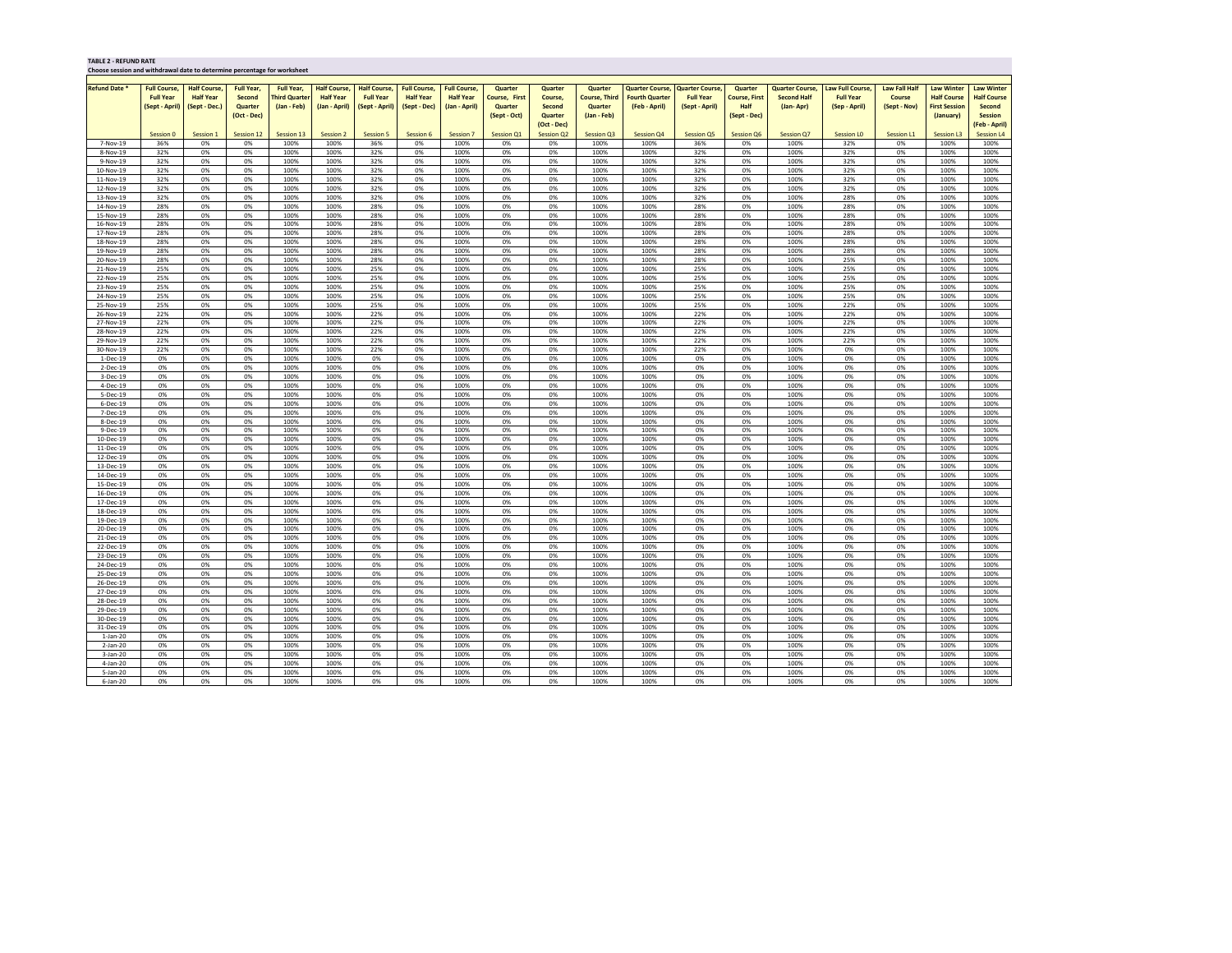| <b>Refund Date *</b><br><b>Half Course,</b><br><b>Full Year,</b><br><b>Full Year.</b><br><b>Half Course,</b><br><b>Half Course,</b><br><b>Full Course,</b><br><b>Full Course,</b><br>Quarter<br><b>Quarter Course,</b><br><b>Quarter Course,</b><br>Law Full Course,<br><b>Law Fall Half</b><br>Law Winter<br><b>Law Winter</b><br><b>Full Course,</b><br><b>Ouarter</b><br>Quarter<br><b>Quarter Course,</b><br>Quarter<br><b>Half Year</b><br><b>Half Course</b><br><b>Full Year</b><br><b>Third Quarter</b><br><b>Half Year</b><br><b>Full Year</b><br><b>Half Year</b><br><b>Course, Third</b><br><b>Fourth Quarter</b><br><b>Full Year</b><br><b>Second Half</b><br><b>Full Year</b><br><b>Half Course</b><br><b>Half Year</b><br>Second<br>Course, First<br>Course.<br><b>Course, First</b><br>Course<br>(Sept - Dec.)<br>(Jan - Feb)<br>(Sept - Dec)<br>Half<br>(Sept - April)<br>Quarter<br>(Jan - April)<br>(Sept - April)<br>(Jan - April)<br>Quarter<br>Second<br>Quarter<br>(Feb - April)<br>(Sept - April)<br>(Jan-Apr)<br>(Sep - April)<br>(Sept - Nov)<br><b>First Session</b><br><b>Second</b><br>(Oct - Dec)<br>Quarter<br>(Jan - Feb)<br>(Sept - Dec)<br>(January)<br><b>Session</b><br>(Sept - Oct)<br>(Feb - April)<br>(Oct - Dec)<br>Session 7<br><b>Session Q2</b><br>Session Q3<br>Session Q4<br>Session Q5<br>Session Q6<br>Session L1<br>Session 0<br>Session 1<br>Session 12<br>Session 13<br><b>Session 2</b><br><b>Session 5</b><br>Session 6<br><b>Session Q1</b><br>Session Q7<br><b>Session LO</b><br><b>Session L4</b><br><b>Session L3</b><br>36%<br>0%<br>0%<br>100%<br>100%<br>0%<br>100%<br>0%<br>100%<br>100%<br>36%<br>0%<br>100%<br>100%<br>100%<br>7-Nov-19<br>36%<br>0%<br>32%<br>0%<br>8-Nov-19<br>32%<br>0%<br>0%<br>100%<br>100%<br>32%<br>0%<br>100%<br>0%<br>0%<br>100%<br>100%<br>32%<br>0%<br>100%<br>32%<br>0%<br>100%<br>100%<br>32%<br>9-Nov-19<br>32%<br>0%<br>0%<br>100%<br>100%<br>32%<br>0%<br>100%<br>0%<br>0%<br>100%<br>100%<br>32%<br>0%<br>100%<br>0%<br>100%<br>100%<br>32%<br>0%<br>0%<br>100%<br>100%<br>32%<br>0%<br>100%<br>0%<br>0%<br>100%<br>100%<br>32%<br>0%<br>100%<br>32%<br>0%<br>100%<br>100%<br>10-Nov-19<br>0%<br>32%<br>0%<br>0%<br>100%<br>100%<br>0%<br>0%<br>32%<br>0%<br>100%<br>32%<br>0%<br>100%<br>100%<br>32%<br>100%<br>100%<br>100%<br>11-Nov-19<br>12-Nov-19<br>32%<br>0%<br>0%<br>100%<br>100%<br>32%<br>0%<br>100%<br>0%<br>0%<br>100%<br>100%<br>32%<br>0%<br>100%<br>32%<br>0%<br>100%<br>100%<br>32%<br>100%<br>0%<br>0%<br>32%<br>28%<br>100%<br>13-Nov-19<br>0%<br>0%<br>100%<br>32%<br>100%<br>0%<br>100%<br>100%<br>0%<br>100%<br>0%<br>100%<br>28%<br>100%<br>0%<br>100%<br>0%<br>28%<br>28%<br>100%<br>14-Nov-19<br>0%<br>0%<br>100%<br>28%<br>0%<br>100%<br>100%<br>0%<br>100%<br>0%<br>100%<br>28%<br>0%<br>0%<br>28%<br>100%<br>15-Nov-19<br>0%<br>0%<br>100%<br>100%<br>28%<br>100%<br>0%<br>100%<br>100%<br>28%<br>0%<br>100%<br>0%<br>100%<br>16-Nov-19<br>28%<br>0%<br>0%<br>100%<br>100%<br>28%<br>0%<br>100%<br>0%<br>0%<br>100%<br>100%<br>28%<br>0%<br>100%<br>28%<br>0%<br>100%<br>100%<br>28%<br>0%<br>100%<br>100%<br>0%<br>0%<br>28%<br>100%<br>28%<br>17-Nov-19<br>0%<br>100%<br>28%<br>0%<br>100%<br>100%<br>0%<br>0%<br>100%<br>100%<br>0%<br>28%<br>28%<br>0%<br>0%<br>100%<br>100%<br>28%<br>0%<br>100%<br>0%<br>100%<br>100%<br>28%<br>0%<br>100%<br>0%<br>100%<br>100%<br>18-Nov-19<br>28%<br>0%<br>0%<br>100%<br>100%<br>28%<br>0%<br>100%<br>0%<br>0%<br>100%<br>100%<br>28%<br>0%<br>100%<br>28%<br>0%<br>100%<br>100%<br>19-Nov-19<br>0%<br>25%<br>20-Nov-19<br>28%<br>0%<br>0%<br>100%<br>100%<br>28%<br>0%<br>100%<br>0%<br>100%<br>100%<br>28%<br>0%<br>100%<br>0%<br>100%<br>100%<br>25%<br>0%<br>0%<br>100%<br>100%<br>25%<br>0%<br>100%<br>0%<br>0%<br>100%<br>100%<br>25%<br>0%<br>100%<br>25%<br>0%<br>100%<br>100%<br>21-Nov-19<br>0%<br>100%<br>100%<br>0%<br>0%<br>0%<br>25%<br>100%<br>25%<br>0%<br>100%<br>22-Nov-19<br>25%<br>0%<br>25%<br>100%<br>100%<br>100%<br>0%<br>100%<br>25%<br>0%<br>0%<br>100%<br>25%<br>0%<br>0%<br>0%<br>100%<br>25%<br>100%<br>25%<br>0%<br>100%<br>100%<br>23-Nov-19<br>100%<br>100%<br>100%<br>0%<br>25%<br>24-Nov-19<br>25%<br>0%<br>0%<br>100%<br>100%<br>25%<br>0%<br>100%<br>0%<br>0%<br>100%<br>100%<br>25%<br>0%<br>100%<br>0%<br>100%<br>100%<br>25%<br>0%<br>0%<br>100%<br>100%<br>25%<br>0%<br>0%<br>0%<br>25%<br>0%<br>100%<br>22%<br>0%<br>100%<br>100%<br>100%<br>100%<br>100%<br>25-Nov-19<br>22%<br>0%<br>100%<br>100%<br>22%<br>0%<br>0%<br>100%<br>100%<br>22%<br>0%<br>100%<br>22%<br>100%<br>100%<br>26-Nov-19<br>0%<br>100%<br>0%<br>0%<br>22%<br>0%<br>0%<br>100%<br>100%<br>22%<br>0%<br>100%<br>0%<br>0%<br>100%<br>100%<br>22%<br>0%<br>100%<br>22%<br>0%<br>100%<br>100%<br>27-Nov-19<br>22%<br>100%<br>0%<br>100%<br>0%<br>22%<br>22%<br>100%<br>28-Nov-19<br>0%<br>0%<br>100%<br>22%<br>0%<br>100%<br>100%<br>0%<br>100%<br>0%<br>100%<br>22%<br>0%<br>100%<br>100%<br>0%<br>100%<br>0%<br>0%<br>22%<br>0%<br>100%<br>22%<br>0%<br>100%<br>100%<br>29-Nov-19<br>0%<br>22%<br>100%<br>100%<br>22%<br>0%<br>22%<br>100%<br>0%<br>30-Nov-19<br>0%<br>0%<br>100%<br>100%<br>22%<br>0%<br>100%<br>0%<br>100%<br>100%<br>0%<br>0%<br>100%<br>100%<br>0%<br>0%<br>0%<br>100%<br>100%<br>0%<br>0%<br>100%<br>0%<br>0%<br>100%<br>100%<br>0%<br>0%<br>100%<br>0%<br>0%<br>100%<br>100%<br>1-Dec-19<br>0%<br>0%<br>0%<br>100%<br>100%<br>0%<br>0%<br>100%<br>0%<br>0%<br>100%<br>100%<br>0%<br>0%<br>100%<br>0%<br>0%<br>100%<br>100%<br>2-Dec-19<br>0%<br>0%<br>0%<br>0%<br>3-Dec-19<br>0%<br>0%<br>0%<br>100%<br>100%<br>0%<br>100%<br>0%<br>100%<br>100%<br>0%<br>100%<br>0%<br>100%<br>100%<br>100%<br>0%<br>0%<br>0%<br>4-Dec-19<br>0%<br>0%<br>0%<br>100%<br>0%<br>100%<br>0%<br>100%<br>100%<br>0%<br>0%<br>100%<br>0%<br>100%<br>100%<br>$5 - Dec-19$<br>0%<br>0%<br>0%<br>100%<br>100%<br>0%<br>0%<br>100%<br>0%<br>0%<br>100%<br>100%<br>0%<br>0%<br>100%<br>0%<br>0%<br>100%<br>100%<br>0%<br>0%<br>0%<br>0%<br>0%<br>0%<br>100%<br>100%<br>0%<br>100%<br>0%<br>100%<br>100%<br>0%<br>100%<br>0%<br>100%<br>100%<br>6-Dec-19<br>0%<br>0%<br>0%<br>0%<br>100%<br>100%<br>0%<br>0%<br>100%<br>0%<br>0%<br>100%<br>100%<br>0%<br>0%<br>100%<br>0%<br>0%<br>100%<br>100%<br>7-Dec-19<br>0%<br>0%<br>0%<br>100%<br>100%<br>0%<br>0%<br>100%<br>0%<br>0%<br>100%<br>100%<br>0%<br>0%<br>100%<br>0%<br>0%<br>100%<br>100%<br>8-Dec-19<br>0%<br>0%<br>0%<br>100%<br>100%<br>0%<br>0%<br>0%<br>100%<br>100%<br>0%<br>0%<br>100%<br>0%<br>100%<br>100%<br>9-Dec-19<br>0%<br>0%<br>100%<br>0%<br>0%<br>0%<br>0%<br>0%<br>0%<br>100%<br>100%<br>0%<br>0%<br>100%<br>0%<br>100%<br>100%<br>0%<br>100%<br>0%<br>100%<br>100%<br>10-Dec-19<br>0%<br>0%<br>11-Dec-19<br>0%<br>0%<br>0%<br>100%<br>100%<br>0%<br>0%<br>100%<br>0%<br>100%<br>100%<br>0%<br>0%<br>100%<br>0%<br>100%<br>100%<br>12-Dec-19<br>0%<br>0%<br>0%<br>100%<br>100%<br>0%<br>0%<br>100%<br>0%<br>0%<br>100%<br>100%<br>0%<br>0%<br>100%<br>0%<br>0%<br>100%<br>100%<br>0%<br>0%<br>0%<br>0%<br>0%<br>100%<br>100%<br>0%<br>0%<br>100%<br>0%<br>100%<br>100%<br>0%<br>0%<br>100%<br>0%<br>100%<br>100%<br>13-Dec-19<br>0%<br>0%<br>0%<br>100%<br>100%<br>0%<br>0%<br>0%<br>100%<br>100%<br>0%<br>0%<br>100%<br>0%<br>0%<br>100%<br>100%<br>14-Dec-19<br>0%<br>100%<br>15-Dec-19<br>0%<br>0%<br>0%<br>100%<br>100%<br>0%<br>0%<br>100%<br>0%<br>0%<br>100%<br>100%<br>0%<br>0%<br>100%<br>0%<br>0%<br>100%<br>100%<br>0%<br>0%<br>100%<br>100%<br>0%<br>0%<br>100%<br>0%<br>0%<br>100%<br>100%<br>0%<br>0%<br>100%<br>0%<br>0%<br>100%<br>100%<br>16-Dec-19<br>0%<br>0%<br>0%<br>0%<br>0%<br>0%<br>0%<br>0%<br>0%<br>100%<br>100%<br>100%<br>0%<br>100%<br>100%<br>0%<br>100%<br>0%<br>100%<br>100%<br>17-Dec-19<br>0%<br>0%<br>0%<br>100%<br>100%<br>0%<br>0%<br>100%<br>0%<br>0%<br>100%<br>100%<br>0%<br>100%<br>0%<br>0%<br>100%<br>100%<br>18-Dec-19<br>0%<br>0%<br>100%<br>0%<br>100%<br>0%<br>0%<br>100%<br>0%<br>0%<br>0%<br>100%<br>19-Dec-19<br>0%<br>0%<br>100%<br>0%<br>100%<br>0%<br>100%<br>100%<br>0%<br>0%<br>0%<br>100%<br>100%<br>0%<br>100%<br>0%<br>0%<br>100%<br>100%<br>0%<br>100%<br>0%<br>0%<br>100%<br>100%<br>20-Dec-19<br>0%<br>0%<br>100%<br>0%<br>0%<br>0%<br>0%<br>100%<br>21-Dec-19<br>0%<br>0%<br>0%<br>100%<br>0%<br>100%<br>0%<br>100%<br>100%<br>0%<br>100%<br>0%<br>100%<br>0%<br>22-Dec-19<br>0%<br>0%<br>0%<br>100%<br>100%<br>0%<br>0%<br>100%<br>0%<br>0%<br>100%<br>100%<br>0%<br>0%<br>100%<br>0%<br>100%<br>100%<br>0%<br>0%<br>100%<br>100%<br>0%<br>0%<br>0%<br>100%<br>100%<br>0%<br>0%<br>100%<br>0%<br>0%<br>100%<br>100%<br>0%<br>0%<br>100%<br>23-Dec-19<br>0%<br>0%<br>0%<br>0%<br>100%<br>100%<br>0%<br>0%<br>0%<br>0%<br>100%<br>0%<br>0%<br>100%<br>0%<br>100%<br>100%<br>24-Dec-19<br>100%<br>100%<br>0%<br>100%<br>100%<br>0%<br>100%<br>0%<br>0%<br>0%<br>0%<br>0%<br>100%<br>100%<br>25-Dec-19<br>0%<br>0%<br>0%<br>100%<br>100%<br>0%<br>100%<br>26-Dec-19<br>0%<br>0%<br>0%<br>100%<br>100%<br>0%<br>0%<br>100%<br>0%<br>0%<br>100%<br>100%<br>0%<br>0%<br>100%<br>0%<br>0%<br>100%<br>100%<br>0%<br>0%<br>100%<br>0%<br>100%<br>0%<br>0%<br>100%<br>100%<br>0%<br>100%<br>0%<br>0%<br>100%<br>100%<br>27-Dec-19<br>0%<br>100%<br>0%<br>0%<br>28-Dec-19<br>0%<br>0%<br>0%<br>100%<br>100%<br>0%<br>0%<br>100%<br>0%<br>0%<br>100%<br>100%<br>0%<br>0%<br>100%<br>0%<br>0%<br>100%<br>100%<br>0%<br>0%<br>29-Dec-19<br>0%<br>0%<br>0%<br>100%<br>100%<br>0%<br>0%<br>100%<br>0%<br>100%<br>100%<br>0%<br>0%<br>100%<br>0%<br>100%<br>100%<br>0%<br>0%<br>100%<br>0%<br>100%<br>0%<br>0%<br>0%<br>0%<br>100%<br>30-Dec-19<br>0%<br>100%<br>0%<br>100%<br>100%<br>0%<br>100%<br>0%<br>100%<br>0%<br>0%<br>0%<br>0%<br>0%<br>100%<br>100%<br>0%<br>0%<br>100%<br>0%<br>0%<br>100%<br>100%<br>0%<br>100%<br>0%<br>100%<br>100%<br>31-Dec-19<br>0%<br>$1-Jan-20$<br>0%<br>0%<br>0%<br>100%<br>100%<br>0%<br>0%<br>100%<br>0%<br>0%<br>100%<br>100%<br>0%<br>0%<br>100%<br>0%<br>100%<br>100%<br>$2$ -Jan-20<br>0%<br>0%<br>0%<br>100%<br>100%<br>0%<br>0%<br>100%<br>0%<br>0%<br>100%<br>100%<br>0%<br>0%<br>100%<br>0%<br>0%<br>100%<br>100%<br>0%<br>0%<br>0%<br>100%<br>100%<br>0%<br>100%<br>0%<br>0%<br>100%<br>100%<br>0%<br>100%<br>0%<br>0%<br>100%<br>100%<br>$3-Jan-20$<br>0%<br>0%<br>100%<br>0%<br>0%<br>0%<br>100%<br>0%<br>100%<br>0%<br>0%<br>100%<br>100%<br>4-Jan-20<br>0%<br>0%<br>0%<br>100%<br>0%<br>100%<br>100%<br>0%<br>0%<br>0%<br>0%<br>0%<br>100%<br>5-Jan-20<br>0%<br>0%<br>0%<br>100%<br>100%<br>0%<br>100%<br>0%<br>100%<br>100%<br>0%<br>100%<br>0%<br>100%<br>0%<br>0%<br>0%<br>100%<br>100%<br>0%<br>0%<br>100%<br>0%<br>0%<br>100%<br>100%<br>0%<br>0%<br>100%<br>0%<br>0%<br>100%<br>100%<br>$6$ -Jan-20 | <b>TABLE 2 - REFUND RATE</b><br>Choose session and withdrawal date to determine percentage for worksheet |  |  |  |  |  |  |  |  |  |  |
|-----------------------------------------------------------------------------------------------------------------------------------------------------------------------------------------------------------------------------------------------------------------------------------------------------------------------------------------------------------------------------------------------------------------------------------------------------------------------------------------------------------------------------------------------------------------------------------------------------------------------------------------------------------------------------------------------------------------------------------------------------------------------------------------------------------------------------------------------------------------------------------------------------------------------------------------------------------------------------------------------------------------------------------------------------------------------------------------------------------------------------------------------------------------------------------------------------------------------------------------------------------------------------------------------------------------------------------------------------------------------------------------------------------------------------------------------------------------------------------------------------------------------------------------------------------------------------------------------------------------------------------------------------------------------------------------------------------------------------------------------------------------------------------------------------------------------------------------------------------------------------------------------------------------------------------------------------------------------------------------------------------------------------------------------------------------------------------------------------------------------------------------------------------------------------------------------------------------------------------------------------------------------------------------------------------------------------------------------------------------------------------------------------------------------------------------------------------------------------------------------------------------------------------------------------------------------------------------------------------------------------------------------------------------------------------------------------------------------------------------------------------------------------------------------------------------------------------------------------------------------------------------------------------------------------------------------------------------------------------------------------------------------------------------------------------------------------------------------------------------------------------------------------------------------------------------------------------------------------------------------------------------------------------------------------------------------------------------------------------------------------------------------------------------------------------------------------------------------------------------------------------------------------------------------------------------------------------------------------------------------------------------------------------------------------------------------------------------------------------------------------------------------------------------------------------------------------------------------------------------------------------------------------------------------------------------------------------------------------------------------------------------------------------------------------------------------------------------------------------------------------------------------------------------------------------------------------------------------------------------------------------------------------------------------------------------------------------------------------------------------------------------------------------------------------------------------------------------------------------------------------------------------------------------------------------------------------------------------------------------------------------------------------------------------------------------------------------------------------------------------------------------------------------------------------------------------------------------------------------------------------------------------------------------------------------------------------------------------------------------------------------------------------------------------------------------------------------------------------------------------------------------------------------------------------------------------------------------------------------------------------------------------------------------------------------------------------------------------------------------------------------------------------------------------------------------------------------------------------------------------------------------------------------------------------------------------------------------------------------------------------------------------------------------------------------------------------------------------------------------------------------------------------------------------------------------------------------------------------------------------------------------------------------------------------------------------------------------------------------------------------------------------------------------------------------------------------------------------------------------------------------------------------------------------------------------------------------------------------------------------------------------------------------------------------------------------------------------------------------------------------------------------------------------------------------------------------------------------------------------------------------------------------------------------------------------------------------------------------------------------------------------------------------------------------------------------------------------------------------------------------------------------------------------------------------------------------------------------------------------------------------------------------------------------------------------------------------------------------------------------------------------------------------------------------------------------------------------------------------------------------------------------------------------------------------------------------------------------------------------------------------------------------------------------------------------------------------------------------------------------------------------------------------------------------------------------------------------------------------------------------------------------------------------------------------------------------------------------------------------------------------------------------------------------------------------------------------------------------------------------------------------------------------------------------------------------------------------------------------------------------------------------------------------------------------------------------------------------------------------------------------------------------------------------------------------------------------------------------------------------------------------------------------------------------------------------------------------------------------------------------------------------------------------------------------------------------------------------------------------------------------------------------------------------------------------------------------------------------------------------------------------------------------------------------------------------------------------------------------------------------------------------------------------------------------------------------------------------------------------------------------------------------------------------------------------------------------------------------------------------------------------------------------------------------------------------------------------------------------------------------------------------------------------------------------------------------------------------------------------------------------------------------------------------------------------------------------------------------------------------------------------------------------------------------------------------------------------------------------------------------------------------------------------------------------------------------------------------------------------------------------------------------------------------------------------------------------------------------------------------------------------------------------------------------------------------------------------------------------------------------------------------------------------------------------------------------------------------------------------------------------------------------------------------------------------------------------------------------------------------------------------------------------------------------------------------------------------------------------------------------------------------------------------------------------------------------------------------------------------------------------------------------------------------------------------------------------------------------------------------------------------------------------------------------------------------------------------------------------------------------------------------------------------------------------------------------------------------------------------------------------------------------------------------------------------------------------------------------------------------------------|----------------------------------------------------------------------------------------------------------|--|--|--|--|--|--|--|--|--|--|
|                                                                                                                                                                                                                                                                                                                                                                                                                                                                                                                                                                                                                                                                                                                                                                                                                                                                                                                                                                                                                                                                                                                                                                                                                                                                                                                                                                                                                                                                                                                                                                                                                                                                                                                                                                                                                                                                                                                                                                                                                                                                                                                                                                                                                                                                                                                                                                                                                                                                                                                                                                                                                                                                                                                                                                                                                                                                                                                                                                                                                                                                                                                                                                                                                                                                                                                                                                                                                                                                                                                                                                                                                                                                                                                                                                                                                                                                                                                                                                                                                                                                                                                                                                                                                                                                                                                                                                                                                                                                                                                                                                                                                                                                                                                                                                                                                                                                                                                                                                                                                                                                                                                                                                                                                                                                                                                                                                                                                                                                                                                                                                                                                                                                                                                                                                                                                                                                                                                                                                                                                                                                                                                                                                                                                                                                                                                                                                                                                                                                                                                                                                                                                                                                                                                                                                                                                                                                                                                                                                                                                                                                                                                                                                                                                                                                                                                                                                                                                                                                                                                                                                                                                                                                                                                                                                                                                                                                                                                                                                                                                                                                                                                                                                                                                                                                                                                                                                                                                                                                                                                                                                                                                                                                                                                                                                                                                                                                                                                                                                                                                                                                                                                                                                                                                                                                                                                                                                                                                                                                                                                                                                                                                                                                                                                                                                                                                                                                                                                                                                                                                                                                                                                                                                                                                                                                                                                                                                                                                                                                                                                                                                                                                                                                                                                                                           |                                                                                                          |  |  |  |  |  |  |  |  |  |  |
|                                                                                                                                                                                                                                                                                                                                                                                                                                                                                                                                                                                                                                                                                                                                                                                                                                                                                                                                                                                                                                                                                                                                                                                                                                                                                                                                                                                                                                                                                                                                                                                                                                                                                                                                                                                                                                                                                                                                                                                                                                                                                                                                                                                                                                                                                                                                                                                                                                                                                                                                                                                                                                                                                                                                                                                                                                                                                                                                                                                                                                                                                                                                                                                                                                                                                                                                                                                                                                                                                                                                                                                                                                                                                                                                                                                                                                                                                                                                                                                                                                                                                                                                                                                                                                                                                                                                                                                                                                                                                                                                                                                                                                                                                                                                                                                                                                                                                                                                                                                                                                                                                                                                                                                                                                                                                                                                                                                                                                                                                                                                                                                                                                                                                                                                                                                                                                                                                                                                                                                                                                                                                                                                                                                                                                                                                                                                                                                                                                                                                                                                                                                                                                                                                                                                                                                                                                                                                                                                                                                                                                                                                                                                                                                                                                                                                                                                                                                                                                                                                                                                                                                                                                                                                                                                                                                                                                                                                                                                                                                                                                                                                                                                                                                                                                                                                                                                                                                                                                                                                                                                                                                                                                                                                                                                                                                                                                                                                                                                                                                                                                                                                                                                                                                                                                                                                                                                                                                                                                                                                                                                                                                                                                                                                                                                                                                                                                                                                                                                                                                                                                                                                                                                                                                                                                                                                                                                                                                                                                                                                                                                                                                                                                                                                                                                                           |                                                                                                          |  |  |  |  |  |  |  |  |  |  |
|                                                                                                                                                                                                                                                                                                                                                                                                                                                                                                                                                                                                                                                                                                                                                                                                                                                                                                                                                                                                                                                                                                                                                                                                                                                                                                                                                                                                                                                                                                                                                                                                                                                                                                                                                                                                                                                                                                                                                                                                                                                                                                                                                                                                                                                                                                                                                                                                                                                                                                                                                                                                                                                                                                                                                                                                                                                                                                                                                                                                                                                                                                                                                                                                                                                                                                                                                                                                                                                                                                                                                                                                                                                                                                                                                                                                                                                                                                                                                                                                                                                                                                                                                                                                                                                                                                                                                                                                                                                                                                                                                                                                                                                                                                                                                                                                                                                                                                                                                                                                                                                                                                                                                                                                                                                                                                                                                                                                                                                                                                                                                                                                                                                                                                                                                                                                                                                                                                                                                                                                                                                                                                                                                                                                                                                                                                                                                                                                                                                                                                                                                                                                                                                                                                                                                                                                                                                                                                                                                                                                                                                                                                                                                                                                                                                                                                                                                                                                                                                                                                                                                                                                                                                                                                                                                                                                                                                                                                                                                                                                                                                                                                                                                                                                                                                                                                                                                                                                                                                                                                                                                                                                                                                                                                                                                                                                                                                                                                                                                                                                                                                                                                                                                                                                                                                                                                                                                                                                                                                                                                                                                                                                                                                                                                                                                                                                                                                                                                                                                                                                                                                                                                                                                                                                                                                                                                                                                                                                                                                                                                                                                                                                                                                                                                                                                           |                                                                                                          |  |  |  |  |  |  |  |  |  |  |
|                                                                                                                                                                                                                                                                                                                                                                                                                                                                                                                                                                                                                                                                                                                                                                                                                                                                                                                                                                                                                                                                                                                                                                                                                                                                                                                                                                                                                                                                                                                                                                                                                                                                                                                                                                                                                                                                                                                                                                                                                                                                                                                                                                                                                                                                                                                                                                                                                                                                                                                                                                                                                                                                                                                                                                                                                                                                                                                                                                                                                                                                                                                                                                                                                                                                                                                                                                                                                                                                                                                                                                                                                                                                                                                                                                                                                                                                                                                                                                                                                                                                                                                                                                                                                                                                                                                                                                                                                                                                                                                                                                                                                                                                                                                                                                                                                                                                                                                                                                                                                                                                                                                                                                                                                                                                                                                                                                                                                                                                                                                                                                                                                                                                                                                                                                                                                                                                                                                                                                                                                                                                                                                                                                                                                                                                                                                                                                                                                                                                                                                                                                                                                                                                                                                                                                                                                                                                                                                                                                                                                                                                                                                                                                                                                                                                                                                                                                                                                                                                                                                                                                                                                                                                                                                                                                                                                                                                                                                                                                                                                                                                                                                                                                                                                                                                                                                                                                                                                                                                                                                                                                                                                                                                                                                                                                                                                                                                                                                                                                                                                                                                                                                                                                                                                                                                                                                                                                                                                                                                                                                                                                                                                                                                                                                                                                                                                                                                                                                                                                                                                                                                                                                                                                                                                                                                                                                                                                                                                                                                                                                                                                                                                                                                                                                                                           |                                                                                                          |  |  |  |  |  |  |  |  |  |  |
|                                                                                                                                                                                                                                                                                                                                                                                                                                                                                                                                                                                                                                                                                                                                                                                                                                                                                                                                                                                                                                                                                                                                                                                                                                                                                                                                                                                                                                                                                                                                                                                                                                                                                                                                                                                                                                                                                                                                                                                                                                                                                                                                                                                                                                                                                                                                                                                                                                                                                                                                                                                                                                                                                                                                                                                                                                                                                                                                                                                                                                                                                                                                                                                                                                                                                                                                                                                                                                                                                                                                                                                                                                                                                                                                                                                                                                                                                                                                                                                                                                                                                                                                                                                                                                                                                                                                                                                                                                                                                                                                                                                                                                                                                                                                                                                                                                                                                                                                                                                                                                                                                                                                                                                                                                                                                                                                                                                                                                                                                                                                                                                                                                                                                                                                                                                                                                                                                                                                                                                                                                                                                                                                                                                                                                                                                                                                                                                                                                                                                                                                                                                                                                                                                                                                                                                                                                                                                                                                                                                                                                                                                                                                                                                                                                                                                                                                                                                                                                                                                                                                                                                                                                                                                                                                                                                                                                                                                                                                                                                                                                                                                                                                                                                                                                                                                                                                                                                                                                                                                                                                                                                                                                                                                                                                                                                                                                                                                                                                                                                                                                                                                                                                                                                                                                                                                                                                                                                                                                                                                                                                                                                                                                                                                                                                                                                                                                                                                                                                                                                                                                                                                                                                                                                                                                                                                                                                                                                                                                                                                                                                                                                                                                                                                                                                                           |                                                                                                          |  |  |  |  |  |  |  |  |  |  |
|                                                                                                                                                                                                                                                                                                                                                                                                                                                                                                                                                                                                                                                                                                                                                                                                                                                                                                                                                                                                                                                                                                                                                                                                                                                                                                                                                                                                                                                                                                                                                                                                                                                                                                                                                                                                                                                                                                                                                                                                                                                                                                                                                                                                                                                                                                                                                                                                                                                                                                                                                                                                                                                                                                                                                                                                                                                                                                                                                                                                                                                                                                                                                                                                                                                                                                                                                                                                                                                                                                                                                                                                                                                                                                                                                                                                                                                                                                                                                                                                                                                                                                                                                                                                                                                                                                                                                                                                                                                                                                                                                                                                                                                                                                                                                                                                                                                                                                                                                                                                                                                                                                                                                                                                                                                                                                                                                                                                                                                                                                                                                                                                                                                                                                                                                                                                                                                                                                                                                                                                                                                                                                                                                                                                                                                                                                                                                                                                                                                                                                                                                                                                                                                                                                                                                                                                                                                                                                                                                                                                                                                                                                                                                                                                                                                                                                                                                                                                                                                                                                                                                                                                                                                                                                                                                                                                                                                                                                                                                                                                                                                                                                                                                                                                                                                                                                                                                                                                                                                                                                                                                                                                                                                                                                                                                                                                                                                                                                                                                                                                                                                                                                                                                                                                                                                                                                                                                                                                                                                                                                                                                                                                                                                                                                                                                                                                                                                                                                                                                                                                                                                                                                                                                                                                                                                                                                                                                                                                                                                                                                                                                                                                                                                                                                                                                           |                                                                                                          |  |  |  |  |  |  |  |  |  |  |
|                                                                                                                                                                                                                                                                                                                                                                                                                                                                                                                                                                                                                                                                                                                                                                                                                                                                                                                                                                                                                                                                                                                                                                                                                                                                                                                                                                                                                                                                                                                                                                                                                                                                                                                                                                                                                                                                                                                                                                                                                                                                                                                                                                                                                                                                                                                                                                                                                                                                                                                                                                                                                                                                                                                                                                                                                                                                                                                                                                                                                                                                                                                                                                                                                                                                                                                                                                                                                                                                                                                                                                                                                                                                                                                                                                                                                                                                                                                                                                                                                                                                                                                                                                                                                                                                                                                                                                                                                                                                                                                                                                                                                                                                                                                                                                                                                                                                                                                                                                                                                                                                                                                                                                                                                                                                                                                                                                                                                                                                                                                                                                                                                                                                                                                                                                                                                                                                                                                                                                                                                                                                                                                                                                                                                                                                                                                                                                                                                                                                                                                                                                                                                                                                                                                                                                                                                                                                                                                                                                                                                                                                                                                                                                                                                                                                                                                                                                                                                                                                                                                                                                                                                                                                                                                                                                                                                                                                                                                                                                                                                                                                                                                                                                                                                                                                                                                                                                                                                                                                                                                                                                                                                                                                                                                                                                                                                                                                                                                                                                                                                                                                                                                                                                                                                                                                                                                                                                                                                                                                                                                                                                                                                                                                                                                                                                                                                                                                                                                                                                                                                                                                                                                                                                                                                                                                                                                                                                                                                                                                                                                                                                                                                                                                                                                                                           |                                                                                                          |  |  |  |  |  |  |  |  |  |  |
|                                                                                                                                                                                                                                                                                                                                                                                                                                                                                                                                                                                                                                                                                                                                                                                                                                                                                                                                                                                                                                                                                                                                                                                                                                                                                                                                                                                                                                                                                                                                                                                                                                                                                                                                                                                                                                                                                                                                                                                                                                                                                                                                                                                                                                                                                                                                                                                                                                                                                                                                                                                                                                                                                                                                                                                                                                                                                                                                                                                                                                                                                                                                                                                                                                                                                                                                                                                                                                                                                                                                                                                                                                                                                                                                                                                                                                                                                                                                                                                                                                                                                                                                                                                                                                                                                                                                                                                                                                                                                                                                                                                                                                                                                                                                                                                                                                                                                                                                                                                                                                                                                                                                                                                                                                                                                                                                                                                                                                                                                                                                                                                                                                                                                                                                                                                                                                                                                                                                                                                                                                                                                                                                                                                                                                                                                                                                                                                                                                                                                                                                                                                                                                                                                                                                                                                                                                                                                                                                                                                                                                                                                                                                                                                                                                                                                                                                                                                                                                                                                                                                                                                                                                                                                                                                                                                                                                                                                                                                                                                                                                                                                                                                                                                                                                                                                                                                                                                                                                                                                                                                                                                                                                                                                                                                                                                                                                                                                                                                                                                                                                                                                                                                                                                                                                                                                                                                                                                                                                                                                                                                                                                                                                                                                                                                                                                                                                                                                                                                                                                                                                                                                                                                                                                                                                                                                                                                                                                                                                                                                                                                                                                                                                                                                                                                                           |                                                                                                          |  |  |  |  |  |  |  |  |  |  |
|                                                                                                                                                                                                                                                                                                                                                                                                                                                                                                                                                                                                                                                                                                                                                                                                                                                                                                                                                                                                                                                                                                                                                                                                                                                                                                                                                                                                                                                                                                                                                                                                                                                                                                                                                                                                                                                                                                                                                                                                                                                                                                                                                                                                                                                                                                                                                                                                                                                                                                                                                                                                                                                                                                                                                                                                                                                                                                                                                                                                                                                                                                                                                                                                                                                                                                                                                                                                                                                                                                                                                                                                                                                                                                                                                                                                                                                                                                                                                                                                                                                                                                                                                                                                                                                                                                                                                                                                                                                                                                                                                                                                                                                                                                                                                                                                                                                                                                                                                                                                                                                                                                                                                                                                                                                                                                                                                                                                                                                                                                                                                                                                                                                                                                                                                                                                                                                                                                                                                                                                                                                                                                                                                                                                                                                                                                                                                                                                                                                                                                                                                                                                                                                                                                                                                                                                                                                                                                                                                                                                                                                                                                                                                                                                                                                                                                                                                                                                                                                                                                                                                                                                                                                                                                                                                                                                                                                                                                                                                                                                                                                                                                                                                                                                                                                                                                                                                                                                                                                                                                                                                                                                                                                                                                                                                                                                                                                                                                                                                                                                                                                                                                                                                                                                                                                                                                                                                                                                                                                                                                                                                                                                                                                                                                                                                                                                                                                                                                                                                                                                                                                                                                                                                                                                                                                                                                                                                                                                                                                                                                                                                                                                                                                                                                                                                           |                                                                                                          |  |  |  |  |  |  |  |  |  |  |
|                                                                                                                                                                                                                                                                                                                                                                                                                                                                                                                                                                                                                                                                                                                                                                                                                                                                                                                                                                                                                                                                                                                                                                                                                                                                                                                                                                                                                                                                                                                                                                                                                                                                                                                                                                                                                                                                                                                                                                                                                                                                                                                                                                                                                                                                                                                                                                                                                                                                                                                                                                                                                                                                                                                                                                                                                                                                                                                                                                                                                                                                                                                                                                                                                                                                                                                                                                                                                                                                                                                                                                                                                                                                                                                                                                                                                                                                                                                                                                                                                                                                                                                                                                                                                                                                                                                                                                                                                                                                                                                                                                                                                                                                                                                                                                                                                                                                                                                                                                                                                                                                                                                                                                                                                                                                                                                                                                                                                                                                                                                                                                                                                                                                                                                                                                                                                                                                                                                                                                                                                                                                                                                                                                                                                                                                                                                                                                                                                                                                                                                                                                                                                                                                                                                                                                                                                                                                                                                                                                                                                                                                                                                                                                                                                                                                                                                                                                                                                                                                                                                                                                                                                                                                                                                                                                                                                                                                                                                                                                                                                                                                                                                                                                                                                                                                                                                                                                                                                                                                                                                                                                                                                                                                                                                                                                                                                                                                                                                                                                                                                                                                                                                                                                                                                                                                                                                                                                                                                                                                                                                                                                                                                                                                                                                                                                                                                                                                                                                                                                                                                                                                                                                                                                                                                                                                                                                                                                                                                                                                                                                                                                                                                                                                                                                                                           |                                                                                                          |  |  |  |  |  |  |  |  |  |  |
|                                                                                                                                                                                                                                                                                                                                                                                                                                                                                                                                                                                                                                                                                                                                                                                                                                                                                                                                                                                                                                                                                                                                                                                                                                                                                                                                                                                                                                                                                                                                                                                                                                                                                                                                                                                                                                                                                                                                                                                                                                                                                                                                                                                                                                                                                                                                                                                                                                                                                                                                                                                                                                                                                                                                                                                                                                                                                                                                                                                                                                                                                                                                                                                                                                                                                                                                                                                                                                                                                                                                                                                                                                                                                                                                                                                                                                                                                                                                                                                                                                                                                                                                                                                                                                                                                                                                                                                                                                                                                                                                                                                                                                                                                                                                                                                                                                                                                                                                                                                                                                                                                                                                                                                                                                                                                                                                                                                                                                                                                                                                                                                                                                                                                                                                                                                                                                                                                                                                                                                                                                                                                                                                                                                                                                                                                                                                                                                                                                                                                                                                                                                                                                                                                                                                                                                                                                                                                                                                                                                                                                                                                                                                                                                                                                                                                                                                                                                                                                                                                                                                                                                                                                                                                                                                                                                                                                                                                                                                                                                                                                                                                                                                                                                                                                                                                                                                                                                                                                                                                                                                                                                                                                                                                                                                                                                                                                                                                                                                                                                                                                                                                                                                                                                                                                                                                                                                                                                                                                                                                                                                                                                                                                                                                                                                                                                                                                                                                                                                                                                                                                                                                                                                                                                                                                                                                                                                                                                                                                                                                                                                                                                                                                                                                                                                                           |                                                                                                          |  |  |  |  |  |  |  |  |  |  |
|                                                                                                                                                                                                                                                                                                                                                                                                                                                                                                                                                                                                                                                                                                                                                                                                                                                                                                                                                                                                                                                                                                                                                                                                                                                                                                                                                                                                                                                                                                                                                                                                                                                                                                                                                                                                                                                                                                                                                                                                                                                                                                                                                                                                                                                                                                                                                                                                                                                                                                                                                                                                                                                                                                                                                                                                                                                                                                                                                                                                                                                                                                                                                                                                                                                                                                                                                                                                                                                                                                                                                                                                                                                                                                                                                                                                                                                                                                                                                                                                                                                                                                                                                                                                                                                                                                                                                                                                                                                                                                                                                                                                                                                                                                                                                                                                                                                                                                                                                                                                                                                                                                                                                                                                                                                                                                                                                                                                                                                                                                                                                                                                                                                                                                                                                                                                                                                                                                                                                                                                                                                                                                                                                                                                                                                                                                                                                                                                                                                                                                                                                                                                                                                                                                                                                                                                                                                                                                                                                                                                                                                                                                                                                                                                                                                                                                                                                                                                                                                                                                                                                                                                                                                                                                                                                                                                                                                                                                                                                                                                                                                                                                                                                                                                                                                                                                                                                                                                                                                                                                                                                                                                                                                                                                                                                                                                                                                                                                                                                                                                                                                                                                                                                                                                                                                                                                                                                                                                                                                                                                                                                                                                                                                                                                                                                                                                                                                                                                                                                                                                                                                                                                                                                                                                                                                                                                                                                                                                                                                                                                                                                                                                                                                                                                                                                           |                                                                                                          |  |  |  |  |  |  |  |  |  |  |
|                                                                                                                                                                                                                                                                                                                                                                                                                                                                                                                                                                                                                                                                                                                                                                                                                                                                                                                                                                                                                                                                                                                                                                                                                                                                                                                                                                                                                                                                                                                                                                                                                                                                                                                                                                                                                                                                                                                                                                                                                                                                                                                                                                                                                                                                                                                                                                                                                                                                                                                                                                                                                                                                                                                                                                                                                                                                                                                                                                                                                                                                                                                                                                                                                                                                                                                                                                                                                                                                                                                                                                                                                                                                                                                                                                                                                                                                                                                                                                                                                                                                                                                                                                                                                                                                                                                                                                                                                                                                                                                                                                                                                                                                                                                                                                                                                                                                                                                                                                                                                                                                                                                                                                                                                                                                                                                                                                                                                                                                                                                                                                                                                                                                                                                                                                                                                                                                                                                                                                                                                                                                                                                                                                                                                                                                                                                                                                                                                                                                                                                                                                                                                                                                                                                                                                                                                                                                                                                                                                                                                                                                                                                                                                                                                                                                                                                                                                                                                                                                                                                                                                                                                                                                                                                                                                                                                                                                                                                                                                                                                                                                                                                                                                                                                                                                                                                                                                                                                                                                                                                                                                                                                                                                                                                                                                                                                                                                                                                                                                                                                                                                                                                                                                                                                                                                                                                                                                                                                                                                                                                                                                                                                                                                                                                                                                                                                                                                                                                                                                                                                                                                                                                                                                                                                                                                                                                                                                                                                                                                                                                                                                                                                                                                                                                                                           |                                                                                                          |  |  |  |  |  |  |  |  |  |  |
|                                                                                                                                                                                                                                                                                                                                                                                                                                                                                                                                                                                                                                                                                                                                                                                                                                                                                                                                                                                                                                                                                                                                                                                                                                                                                                                                                                                                                                                                                                                                                                                                                                                                                                                                                                                                                                                                                                                                                                                                                                                                                                                                                                                                                                                                                                                                                                                                                                                                                                                                                                                                                                                                                                                                                                                                                                                                                                                                                                                                                                                                                                                                                                                                                                                                                                                                                                                                                                                                                                                                                                                                                                                                                                                                                                                                                                                                                                                                                                                                                                                                                                                                                                                                                                                                                                                                                                                                                                                                                                                                                                                                                                                                                                                                                                                                                                                                                                                                                                                                                                                                                                                                                                                                                                                                                                                                                                                                                                                                                                                                                                                                                                                                                                                                                                                                                                                                                                                                                                                                                                                                                                                                                                                                                                                                                                                                                                                                                                                                                                                                                                                                                                                                                                                                                                                                                                                                                                                                                                                                                                                                                                                                                                                                                                                                                                                                                                                                                                                                                                                                                                                                                                                                                                                                                                                                                                                                                                                                                                                                                                                                                                                                                                                                                                                                                                                                                                                                                                                                                                                                                                                                                                                                                                                                                                                                                                                                                                                                                                                                                                                                                                                                                                                                                                                                                                                                                                                                                                                                                                                                                                                                                                                                                                                                                                                                                                                                                                                                                                                                                                                                                                                                                                                                                                                                                                                                                                                                                                                                                                                                                                                                                                                                                                                                                           |                                                                                                          |  |  |  |  |  |  |  |  |  |  |
|                                                                                                                                                                                                                                                                                                                                                                                                                                                                                                                                                                                                                                                                                                                                                                                                                                                                                                                                                                                                                                                                                                                                                                                                                                                                                                                                                                                                                                                                                                                                                                                                                                                                                                                                                                                                                                                                                                                                                                                                                                                                                                                                                                                                                                                                                                                                                                                                                                                                                                                                                                                                                                                                                                                                                                                                                                                                                                                                                                                                                                                                                                                                                                                                                                                                                                                                                                                                                                                                                                                                                                                                                                                                                                                                                                                                                                                                                                                                                                                                                                                                                                                                                                                                                                                                                                                                                                                                                                                                                                                                                                                                                                                                                                                                                                                                                                                                                                                                                                                                                                                                                                                                                                                                                                                                                                                                                                                                                                                                                                                                                                                                                                                                                                                                                                                                                                                                                                                                                                                                                                                                                                                                                                                                                                                                                                                                                                                                                                                                                                                                                                                                                                                                                                                                                                                                                                                                                                                                                                                                                                                                                                                                                                                                                                                                                                                                                                                                                                                                                                                                                                                                                                                                                                                                                                                                                                                                                                                                                                                                                                                                                                                                                                                                                                                                                                                                                                                                                                                                                                                                                                                                                                                                                                                                                                                                                                                                                                                                                                                                                                                                                                                                                                                                                                                                                                                                                                                                                                                                                                                                                                                                                                                                                                                                                                                                                                                                                                                                                                                                                                                                                                                                                                                                                                                                                                                                                                                                                                                                                                                                                                                                                                                                                                                                                           |                                                                                                          |  |  |  |  |  |  |  |  |  |  |
|                                                                                                                                                                                                                                                                                                                                                                                                                                                                                                                                                                                                                                                                                                                                                                                                                                                                                                                                                                                                                                                                                                                                                                                                                                                                                                                                                                                                                                                                                                                                                                                                                                                                                                                                                                                                                                                                                                                                                                                                                                                                                                                                                                                                                                                                                                                                                                                                                                                                                                                                                                                                                                                                                                                                                                                                                                                                                                                                                                                                                                                                                                                                                                                                                                                                                                                                                                                                                                                                                                                                                                                                                                                                                                                                                                                                                                                                                                                                                                                                                                                                                                                                                                                                                                                                                                                                                                                                                                                                                                                                                                                                                                                                                                                                                                                                                                                                                                                                                                                                                                                                                                                                                                                                                                                                                                                                                                                                                                                                                                                                                                                                                                                                                                                                                                                                                                                                                                                                                                                                                                                                                                                                                                                                                                                                                                                                                                                                                                                                                                                                                                                                                                                                                                                                                                                                                                                                                                                                                                                                                                                                                                                                                                                                                                                                                                                                                                                                                                                                                                                                                                                                                                                                                                                                                                                                                                                                                                                                                                                                                                                                                                                                                                                                                                                                                                                                                                                                                                                                                                                                                                                                                                                                                                                                                                                                                                                                                                                                                                                                                                                                                                                                                                                                                                                                                                                                                                                                                                                                                                                                                                                                                                                                                                                                                                                                                                                                                                                                                                                                                                                                                                                                                                                                                                                                                                                                                                                                                                                                                                                                                                                                                                                                                                                                                           |                                                                                                          |  |  |  |  |  |  |  |  |  |  |
|                                                                                                                                                                                                                                                                                                                                                                                                                                                                                                                                                                                                                                                                                                                                                                                                                                                                                                                                                                                                                                                                                                                                                                                                                                                                                                                                                                                                                                                                                                                                                                                                                                                                                                                                                                                                                                                                                                                                                                                                                                                                                                                                                                                                                                                                                                                                                                                                                                                                                                                                                                                                                                                                                                                                                                                                                                                                                                                                                                                                                                                                                                                                                                                                                                                                                                                                                                                                                                                                                                                                                                                                                                                                                                                                                                                                                                                                                                                                                                                                                                                                                                                                                                                                                                                                                                                                                                                                                                                                                                                                                                                                                                                                                                                                                                                                                                                                                                                                                                                                                                                                                                                                                                                                                                                                                                                                                                                                                                                                                                                                                                                                                                                                                                                                                                                                                                                                                                                                                                                                                                                                                                                                                                                                                                                                                                                                                                                                                                                                                                                                                                                                                                                                                                                                                                                                                                                                                                                                                                                                                                                                                                                                                                                                                                                                                                                                                                                                                                                                                                                                                                                                                                                                                                                                                                                                                                                                                                                                                                                                                                                                                                                                                                                                                                                                                                                                                                                                                                                                                                                                                                                                                                                                                                                                                                                                                                                                                                                                                                                                                                                                                                                                                                                                                                                                                                                                                                                                                                                                                                                                                                                                                                                                                                                                                                                                                                                                                                                                                                                                                                                                                                                                                                                                                                                                                                                                                                                                                                                                                                                                                                                                                                                                                                                                                           |                                                                                                          |  |  |  |  |  |  |  |  |  |  |
|                                                                                                                                                                                                                                                                                                                                                                                                                                                                                                                                                                                                                                                                                                                                                                                                                                                                                                                                                                                                                                                                                                                                                                                                                                                                                                                                                                                                                                                                                                                                                                                                                                                                                                                                                                                                                                                                                                                                                                                                                                                                                                                                                                                                                                                                                                                                                                                                                                                                                                                                                                                                                                                                                                                                                                                                                                                                                                                                                                                                                                                                                                                                                                                                                                                                                                                                                                                                                                                                                                                                                                                                                                                                                                                                                                                                                                                                                                                                                                                                                                                                                                                                                                                                                                                                                                                                                                                                                                                                                                                                                                                                                                                                                                                                                                                                                                                                                                                                                                                                                                                                                                                                                                                                                                                                                                                                                                                                                                                                                                                                                                                                                                                                                                                                                                                                                                                                                                                                                                                                                                                                                                                                                                                                                                                                                                                                                                                                                                                                                                                                                                                                                                                                                                                                                                                                                                                                                                                                                                                                                                                                                                                                                                                                                                                                                                                                                                                                                                                                                                                                                                                                                                                                                                                                                                                                                                                                                                                                                                                                                                                                                                                                                                                                                                                                                                                                                                                                                                                                                                                                                                                                                                                                                                                                                                                                                                                                                                                                                                                                                                                                                                                                                                                                                                                                                                                                                                                                                                                                                                                                                                                                                                                                                                                                                                                                                                                                                                                                                                                                                                                                                                                                                                                                                                                                                                                                                                                                                                                                                                                                                                                                                                                                                                                                                           |                                                                                                          |  |  |  |  |  |  |  |  |  |  |
|                                                                                                                                                                                                                                                                                                                                                                                                                                                                                                                                                                                                                                                                                                                                                                                                                                                                                                                                                                                                                                                                                                                                                                                                                                                                                                                                                                                                                                                                                                                                                                                                                                                                                                                                                                                                                                                                                                                                                                                                                                                                                                                                                                                                                                                                                                                                                                                                                                                                                                                                                                                                                                                                                                                                                                                                                                                                                                                                                                                                                                                                                                                                                                                                                                                                                                                                                                                                                                                                                                                                                                                                                                                                                                                                                                                                                                                                                                                                                                                                                                                                                                                                                                                                                                                                                                                                                                                                                                                                                                                                                                                                                                                                                                                                                                                                                                                                                                                                                                                                                                                                                                                                                                                                                                                                                                                                                                                                                                                                                                                                                                                                                                                                                                                                                                                                                                                                                                                                                                                                                                                                                                                                                                                                                                                                                                                                                                                                                                                                                                                                                                                                                                                                                                                                                                                                                                                                                                                                                                                                                                                                                                                                                                                                                                                                                                                                                                                                                                                                                                                                                                                                                                                                                                                                                                                                                                                                                                                                                                                                                                                                                                                                                                                                                                                                                                                                                                                                                                                                                                                                                                                                                                                                                                                                                                                                                                                                                                                                                                                                                                                                                                                                                                                                                                                                                                                                                                                                                                                                                                                                                                                                                                                                                                                                                                                                                                                                                                                                                                                                                                                                                                                                                                                                                                                                                                                                                                                                                                                                                                                                                                                                                                                                                                                                                           |                                                                                                          |  |  |  |  |  |  |  |  |  |  |
|                                                                                                                                                                                                                                                                                                                                                                                                                                                                                                                                                                                                                                                                                                                                                                                                                                                                                                                                                                                                                                                                                                                                                                                                                                                                                                                                                                                                                                                                                                                                                                                                                                                                                                                                                                                                                                                                                                                                                                                                                                                                                                                                                                                                                                                                                                                                                                                                                                                                                                                                                                                                                                                                                                                                                                                                                                                                                                                                                                                                                                                                                                                                                                                                                                                                                                                                                                                                                                                                                                                                                                                                                                                                                                                                                                                                                                                                                                                                                                                                                                                                                                                                                                                                                                                                                                                                                                                                                                                                                                                                                                                                                                                                                                                                                                                                                                                                                                                                                                                                                                                                                                                                                                                                                                                                                                                                                                                                                                                                                                                                                                                                                                                                                                                                                                                                                                                                                                                                                                                                                                                                                                                                                                                                                                                                                                                                                                                                                                                                                                                                                                                                                                                                                                                                                                                                                                                                                                                                                                                                                                                                                                                                                                                                                                                                                                                                                                                                                                                                                                                                                                                                                                                                                                                                                                                                                                                                                                                                                                                                                                                                                                                                                                                                                                                                                                                                                                                                                                                                                                                                                                                                                                                                                                                                                                                                                                                                                                                                                                                                                                                                                                                                                                                                                                                                                                                                                                                                                                                                                                                                                                                                                                                                                                                                                                                                                                                                                                                                                                                                                                                                                                                                                                                                                                                                                                                                                                                                                                                                                                                                                                                                                                                                                                                                                           |                                                                                                          |  |  |  |  |  |  |  |  |  |  |
|                                                                                                                                                                                                                                                                                                                                                                                                                                                                                                                                                                                                                                                                                                                                                                                                                                                                                                                                                                                                                                                                                                                                                                                                                                                                                                                                                                                                                                                                                                                                                                                                                                                                                                                                                                                                                                                                                                                                                                                                                                                                                                                                                                                                                                                                                                                                                                                                                                                                                                                                                                                                                                                                                                                                                                                                                                                                                                                                                                                                                                                                                                                                                                                                                                                                                                                                                                                                                                                                                                                                                                                                                                                                                                                                                                                                                                                                                                                                                                                                                                                                                                                                                                                                                                                                                                                                                                                                                                                                                                                                                                                                                                                                                                                                                                                                                                                                                                                                                                                                                                                                                                                                                                                                                                                                                                                                                                                                                                                                                                                                                                                                                                                                                                                                                                                                                                                                                                                                                                                                                                                                                                                                                                                                                                                                                                                                                                                                                                                                                                                                                                                                                                                                                                                                                                                                                                                                                                                                                                                                                                                                                                                                                                                                                                                                                                                                                                                                                                                                                                                                                                                                                                                                                                                                                                                                                                                                                                                                                                                                                                                                                                                                                                                                                                                                                                                                                                                                                                                                                                                                                                                                                                                                                                                                                                                                                                                                                                                                                                                                                                                                                                                                                                                                                                                                                                                                                                                                                                                                                                                                                                                                                                                                                                                                                                                                                                                                                                                                                                                                                                                                                                                                                                                                                                                                                                                                                                                                                                                                                                                                                                                                                                                                                                                                                           |                                                                                                          |  |  |  |  |  |  |  |  |  |  |
|                                                                                                                                                                                                                                                                                                                                                                                                                                                                                                                                                                                                                                                                                                                                                                                                                                                                                                                                                                                                                                                                                                                                                                                                                                                                                                                                                                                                                                                                                                                                                                                                                                                                                                                                                                                                                                                                                                                                                                                                                                                                                                                                                                                                                                                                                                                                                                                                                                                                                                                                                                                                                                                                                                                                                                                                                                                                                                                                                                                                                                                                                                                                                                                                                                                                                                                                                                                                                                                                                                                                                                                                                                                                                                                                                                                                                                                                                                                                                                                                                                                                                                                                                                                                                                                                                                                                                                                                                                                                                                                                                                                                                                                                                                                                                                                                                                                                                                                                                                                                                                                                                                                                                                                                                                                                                                                                                                                                                                                                                                                                                                                                                                                                                                                                                                                                                                                                                                                                                                                                                                                                                                                                                                                                                                                                                                                                                                                                                                                                                                                                                                                                                                                                                                                                                                                                                                                                                                                                                                                                                                                                                                                                                                                                                                                                                                                                                                                                                                                                                                                                                                                                                                                                                                                                                                                                                                                                                                                                                                                                                                                                                                                                                                                                                                                                                                                                                                                                                                                                                                                                                                                                                                                                                                                                                                                                                                                                                                                                                                                                                                                                                                                                                                                                                                                                                                                                                                                                                                                                                                                                                                                                                                                                                                                                                                                                                                                                                                                                                                                                                                                                                                                                                                                                                                                                                                                                                                                                                                                                                                                                                                                                                                                                                                                                                           |                                                                                                          |  |  |  |  |  |  |  |  |  |  |
|                                                                                                                                                                                                                                                                                                                                                                                                                                                                                                                                                                                                                                                                                                                                                                                                                                                                                                                                                                                                                                                                                                                                                                                                                                                                                                                                                                                                                                                                                                                                                                                                                                                                                                                                                                                                                                                                                                                                                                                                                                                                                                                                                                                                                                                                                                                                                                                                                                                                                                                                                                                                                                                                                                                                                                                                                                                                                                                                                                                                                                                                                                                                                                                                                                                                                                                                                                                                                                                                                                                                                                                                                                                                                                                                                                                                                                                                                                                                                                                                                                                                                                                                                                                                                                                                                                                                                                                                                                                                                                                                                                                                                                                                                                                                                                                                                                                                                                                                                                                                                                                                                                                                                                                                                                                                                                                                                                                                                                                                                                                                                                                                                                                                                                                                                                                                                                                                                                                                                                                                                                                                                                                                                                                                                                                                                                                                                                                                                                                                                                                                                                                                                                                                                                                                                                                                                                                                                                                                                                                                                                                                                                                                                                                                                                                                                                                                                                                                                                                                                                                                                                                                                                                                                                                                                                                                                                                                                                                                                                                                                                                                                                                                                                                                                                                                                                                                                                                                                                                                                                                                                                                                                                                                                                                                                                                                                                                                                                                                                                                                                                                                                                                                                                                                                                                                                                                                                                                                                                                                                                                                                                                                                                                                                                                                                                                                                                                                                                                                                                                                                                                                                                                                                                                                                                                                                                                                                                                                                                                                                                                                                                                                                                                                                                                                                           |                                                                                                          |  |  |  |  |  |  |  |  |  |  |
|                                                                                                                                                                                                                                                                                                                                                                                                                                                                                                                                                                                                                                                                                                                                                                                                                                                                                                                                                                                                                                                                                                                                                                                                                                                                                                                                                                                                                                                                                                                                                                                                                                                                                                                                                                                                                                                                                                                                                                                                                                                                                                                                                                                                                                                                                                                                                                                                                                                                                                                                                                                                                                                                                                                                                                                                                                                                                                                                                                                                                                                                                                                                                                                                                                                                                                                                                                                                                                                                                                                                                                                                                                                                                                                                                                                                                                                                                                                                                                                                                                                                                                                                                                                                                                                                                                                                                                                                                                                                                                                                                                                                                                                                                                                                                                                                                                                                                                                                                                                                                                                                                                                                                                                                                                                                                                                                                                                                                                                                                                                                                                                                                                                                                                                                                                                                                                                                                                                                                                                                                                                                                                                                                                                                                                                                                                                                                                                                                                                                                                                                                                                                                                                                                                                                                                                                                                                                                                                                                                                                                                                                                                                                                                                                                                                                                                                                                                                                                                                                                                                                                                                                                                                                                                                                                                                                                                                                                                                                                                                                                                                                                                                                                                                                                                                                                                                                                                                                                                                                                                                                                                                                                                                                                                                                                                                                                                                                                                                                                                                                                                                                                                                                                                                                                                                                                                                                                                                                                                                                                                                                                                                                                                                                                                                                                                                                                                                                                                                                                                                                                                                                                                                                                                                                                                                                                                                                                                                                                                                                                                                                                                                                                                                                                                                                                           |                                                                                                          |  |  |  |  |  |  |  |  |  |  |
|                                                                                                                                                                                                                                                                                                                                                                                                                                                                                                                                                                                                                                                                                                                                                                                                                                                                                                                                                                                                                                                                                                                                                                                                                                                                                                                                                                                                                                                                                                                                                                                                                                                                                                                                                                                                                                                                                                                                                                                                                                                                                                                                                                                                                                                                                                                                                                                                                                                                                                                                                                                                                                                                                                                                                                                                                                                                                                                                                                                                                                                                                                                                                                                                                                                                                                                                                                                                                                                                                                                                                                                                                                                                                                                                                                                                                                                                                                                                                                                                                                                                                                                                                                                                                                                                                                                                                                                                                                                                                                                                                                                                                                                                                                                                                                                                                                                                                                                                                                                                                                                                                                                                                                                                                                                                                                                                                                                                                                                                                                                                                                                                                                                                                                                                                                                                                                                                                                                                                                                                                                                                                                                                                                                                                                                                                                                                                                                                                                                                                                                                                                                                                                                                                                                                                                                                                                                                                                                                                                                                                                                                                                                                                                                                                                                                                                                                                                                                                                                                                                                                                                                                                                                                                                                                                                                                                                                                                                                                                                                                                                                                                                                                                                                                                                                                                                                                                                                                                                                                                                                                                                                                                                                                                                                                                                                                                                                                                                                                                                                                                                                                                                                                                                                                                                                                                                                                                                                                                                                                                                                                                                                                                                                                                                                                                                                                                                                                                                                                                                                                                                                                                                                                                                                                                                                                                                                                                                                                                                                                                                                                                                                                                                                                                                                                                           |                                                                                                          |  |  |  |  |  |  |  |  |  |  |
|                                                                                                                                                                                                                                                                                                                                                                                                                                                                                                                                                                                                                                                                                                                                                                                                                                                                                                                                                                                                                                                                                                                                                                                                                                                                                                                                                                                                                                                                                                                                                                                                                                                                                                                                                                                                                                                                                                                                                                                                                                                                                                                                                                                                                                                                                                                                                                                                                                                                                                                                                                                                                                                                                                                                                                                                                                                                                                                                                                                                                                                                                                                                                                                                                                                                                                                                                                                                                                                                                                                                                                                                                                                                                                                                                                                                                                                                                                                                                                                                                                                                                                                                                                                                                                                                                                                                                                                                                                                                                                                                                                                                                                                                                                                                                                                                                                                                                                                                                                                                                                                                                                                                                                                                                                                                                                                                                                                                                                                                                                                                                                                                                                                                                                                                                                                                                                                                                                                                                                                                                                                                                                                                                                                                                                                                                                                                                                                                                                                                                                                                                                                                                                                                                                                                                                                                                                                                                                                                                                                                                                                                                                                                                                                                                                                                                                                                                                                                                                                                                                                                                                                                                                                                                                                                                                                                                                                                                                                                                                                                                                                                                                                                                                                                                                                                                                                                                                                                                                                                                                                                                                                                                                                                                                                                                                                                                                                                                                                                                                                                                                                                                                                                                                                                                                                                                                                                                                                                                                                                                                                                                                                                                                                                                                                                                                                                                                                                                                                                                                                                                                                                                                                                                                                                                                                                                                                                                                                                                                                                                                                                                                                                                                                                                                                                                           |                                                                                                          |  |  |  |  |  |  |  |  |  |  |
|                                                                                                                                                                                                                                                                                                                                                                                                                                                                                                                                                                                                                                                                                                                                                                                                                                                                                                                                                                                                                                                                                                                                                                                                                                                                                                                                                                                                                                                                                                                                                                                                                                                                                                                                                                                                                                                                                                                                                                                                                                                                                                                                                                                                                                                                                                                                                                                                                                                                                                                                                                                                                                                                                                                                                                                                                                                                                                                                                                                                                                                                                                                                                                                                                                                                                                                                                                                                                                                                                                                                                                                                                                                                                                                                                                                                                                                                                                                                                                                                                                                                                                                                                                                                                                                                                                                                                                                                                                                                                                                                                                                                                                                                                                                                                                                                                                                                                                                                                                                                                                                                                                                                                                                                                                                                                                                                                                                                                                                                                                                                                                                                                                                                                                                                                                                                                                                                                                                                                                                                                                                                                                                                                                                                                                                                                                                                                                                                                                                                                                                                                                                                                                                                                                                                                                                                                                                                                                                                                                                                                                                                                                                                                                                                                                                                                                                                                                                                                                                                                                                                                                                                                                                                                                                                                                                                                                                                                                                                                                                                                                                                                                                                                                                                                                                                                                                                                                                                                                                                                                                                                                                                                                                                                                                                                                                                                                                                                                                                                                                                                                                                                                                                                                                                                                                                                                                                                                                                                                                                                                                                                                                                                                                                                                                                                                                                                                                                                                                                                                                                                                                                                                                                                                                                                                                                                                                                                                                                                                                                                                                                                                                                                                                                                                                                                           |                                                                                                          |  |  |  |  |  |  |  |  |  |  |
|                                                                                                                                                                                                                                                                                                                                                                                                                                                                                                                                                                                                                                                                                                                                                                                                                                                                                                                                                                                                                                                                                                                                                                                                                                                                                                                                                                                                                                                                                                                                                                                                                                                                                                                                                                                                                                                                                                                                                                                                                                                                                                                                                                                                                                                                                                                                                                                                                                                                                                                                                                                                                                                                                                                                                                                                                                                                                                                                                                                                                                                                                                                                                                                                                                                                                                                                                                                                                                                                                                                                                                                                                                                                                                                                                                                                                                                                                                                                                                                                                                                                                                                                                                                                                                                                                                                                                                                                                                                                                                                                                                                                                                                                                                                                                                                                                                                                                                                                                                                                                                                                                                                                                                                                                                                                                                                                                                                                                                                                                                                                                                                                                                                                                                                                                                                                                                                                                                                                                                                                                                                                                                                                                                                                                                                                                                                                                                                                                                                                                                                                                                                                                                                                                                                                                                                                                                                                                                                                                                                                                                                                                                                                                                                                                                                                                                                                                                                                                                                                                                                                                                                                                                                                                                                                                                                                                                                                                                                                                                                                                                                                                                                                                                                                                                                                                                                                                                                                                                                                                                                                                                                                                                                                                                                                                                                                                                                                                                                                                                                                                                                                                                                                                                                                                                                                                                                                                                                                                                                                                                                                                                                                                                                                                                                                                                                                                                                                                                                                                                                                                                                                                                                                                                                                                                                                                                                                                                                                                                                                                                                                                                                                                                                                                                                                                           |                                                                                                          |  |  |  |  |  |  |  |  |  |  |
|                                                                                                                                                                                                                                                                                                                                                                                                                                                                                                                                                                                                                                                                                                                                                                                                                                                                                                                                                                                                                                                                                                                                                                                                                                                                                                                                                                                                                                                                                                                                                                                                                                                                                                                                                                                                                                                                                                                                                                                                                                                                                                                                                                                                                                                                                                                                                                                                                                                                                                                                                                                                                                                                                                                                                                                                                                                                                                                                                                                                                                                                                                                                                                                                                                                                                                                                                                                                                                                                                                                                                                                                                                                                                                                                                                                                                                                                                                                                                                                                                                                                                                                                                                                                                                                                                                                                                                                                                                                                                                                                                                                                                                                                                                                                                                                                                                                                                                                                                                                                                                                                                                                                                                                                                                                                                                                                                                                                                                                                                                                                                                                                                                                                                                                                                                                                                                                                                                                                                                                                                                                                                                                                                                                                                                                                                                                                                                                                                                                                                                                                                                                                                                                                                                                                                                                                                                                                                                                                                                                                                                                                                                                                                                                                                                                                                                                                                                                                                                                                                                                                                                                                                                                                                                                                                                                                                                                                                                                                                                                                                                                                                                                                                                                                                                                                                                                                                                                                                                                                                                                                                                                                                                                                                                                                                                                                                                                                                                                                                                                                                                                                                                                                                                                                                                                                                                                                                                                                                                                                                                                                                                                                                                                                                                                                                                                                                                                                                                                                                                                                                                                                                                                                                                                                                                                                                                                                                                                                                                                                                                                                                                                                                                                                                                                                                           |                                                                                                          |  |  |  |  |  |  |  |  |  |  |
|                                                                                                                                                                                                                                                                                                                                                                                                                                                                                                                                                                                                                                                                                                                                                                                                                                                                                                                                                                                                                                                                                                                                                                                                                                                                                                                                                                                                                                                                                                                                                                                                                                                                                                                                                                                                                                                                                                                                                                                                                                                                                                                                                                                                                                                                                                                                                                                                                                                                                                                                                                                                                                                                                                                                                                                                                                                                                                                                                                                                                                                                                                                                                                                                                                                                                                                                                                                                                                                                                                                                                                                                                                                                                                                                                                                                                                                                                                                                                                                                                                                                                                                                                                                                                                                                                                                                                                                                                                                                                                                                                                                                                                                                                                                                                                                                                                                                                                                                                                                                                                                                                                                                                                                                                                                                                                                                                                                                                                                                                                                                                                                                                                                                                                                                                                                                                                                                                                                                                                                                                                                                                                                                                                                                                                                                                                                                                                                                                                                                                                                                                                                                                                                                                                                                                                                                                                                                                                                                                                                                                                                                                                                                                                                                                                                                                                                                                                                                                                                                                                                                                                                                                                                                                                                                                                                                                                                                                                                                                                                                                                                                                                                                                                                                                                                                                                                                                                                                                                                                                                                                                                                                                                                                                                                                                                                                                                                                                                                                                                                                                                                                                                                                                                                                                                                                                                                                                                                                                                                                                                                                                                                                                                                                                                                                                                                                                                                                                                                                                                                                                                                                                                                                                                                                                                                                                                                                                                                                                                                                                                                                                                                                                                                                                                                                                           |                                                                                                          |  |  |  |  |  |  |  |  |  |  |
|                                                                                                                                                                                                                                                                                                                                                                                                                                                                                                                                                                                                                                                                                                                                                                                                                                                                                                                                                                                                                                                                                                                                                                                                                                                                                                                                                                                                                                                                                                                                                                                                                                                                                                                                                                                                                                                                                                                                                                                                                                                                                                                                                                                                                                                                                                                                                                                                                                                                                                                                                                                                                                                                                                                                                                                                                                                                                                                                                                                                                                                                                                                                                                                                                                                                                                                                                                                                                                                                                                                                                                                                                                                                                                                                                                                                                                                                                                                                                                                                                                                                                                                                                                                                                                                                                                                                                                                                                                                                                                                                                                                                                                                                                                                                                                                                                                                                                                                                                                                                                                                                                                                                                                                                                                                                                                                                                                                                                                                                                                                                                                                                                                                                                                                                                                                                                                                                                                                                                                                                                                                                                                                                                                                                                                                                                                                                                                                                                                                                                                                                                                                                                                                                                                                                                                                                                                                                                                                                                                                                                                                                                                                                                                                                                                                                                                                                                                                                                                                                                                                                                                                                                                                                                                                                                                                                                                                                                                                                                                                                                                                                                                                                                                                                                                                                                                                                                                                                                                                                                                                                                                                                                                                                                                                                                                                                                                                                                                                                                                                                                                                                                                                                                                                                                                                                                                                                                                                                                                                                                                                                                                                                                                                                                                                                                                                                                                                                                                                                                                                                                                                                                                                                                                                                                                                                                                                                                                                                                                                                                                                                                                                                                                                                                                                                                           |                                                                                                          |  |  |  |  |  |  |  |  |  |  |
|                                                                                                                                                                                                                                                                                                                                                                                                                                                                                                                                                                                                                                                                                                                                                                                                                                                                                                                                                                                                                                                                                                                                                                                                                                                                                                                                                                                                                                                                                                                                                                                                                                                                                                                                                                                                                                                                                                                                                                                                                                                                                                                                                                                                                                                                                                                                                                                                                                                                                                                                                                                                                                                                                                                                                                                                                                                                                                                                                                                                                                                                                                                                                                                                                                                                                                                                                                                                                                                                                                                                                                                                                                                                                                                                                                                                                                                                                                                                                                                                                                                                                                                                                                                                                                                                                                                                                                                                                                                                                                                                                                                                                                                                                                                                                                                                                                                                                                                                                                                                                                                                                                                                                                                                                                                                                                                                                                                                                                                                                                                                                                                                                                                                                                                                                                                                                                                                                                                                                                                                                                                                                                                                                                                                                                                                                                                                                                                                                                                                                                                                                                                                                                                                                                                                                                                                                                                                                                                                                                                                                                                                                                                                                                                                                                                                                                                                                                                                                                                                                                                                                                                                                                                                                                                                                                                                                                                                                                                                                                                                                                                                                                                                                                                                                                                                                                                                                                                                                                                                                                                                                                                                                                                                                                                                                                                                                                                                                                                                                                                                                                                                                                                                                                                                                                                                                                                                                                                                                                                                                                                                                                                                                                                                                                                                                                                                                                                                                                                                                                                                                                                                                                                                                                                                                                                                                                                                                                                                                                                                                                                                                                                                                                                                                                                                                           |                                                                                                          |  |  |  |  |  |  |  |  |  |  |
|                                                                                                                                                                                                                                                                                                                                                                                                                                                                                                                                                                                                                                                                                                                                                                                                                                                                                                                                                                                                                                                                                                                                                                                                                                                                                                                                                                                                                                                                                                                                                                                                                                                                                                                                                                                                                                                                                                                                                                                                                                                                                                                                                                                                                                                                                                                                                                                                                                                                                                                                                                                                                                                                                                                                                                                                                                                                                                                                                                                                                                                                                                                                                                                                                                                                                                                                                                                                                                                                                                                                                                                                                                                                                                                                                                                                                                                                                                                                                                                                                                                                                                                                                                                                                                                                                                                                                                                                                                                                                                                                                                                                                                                                                                                                                                                                                                                                                                                                                                                                                                                                                                                                                                                                                                                                                                                                                                                                                                                                                                                                                                                                                                                                                                                                                                                                                                                                                                                                                                                                                                                                                                                                                                                                                                                                                                                                                                                                                                                                                                                                                                                                                                                                                                                                                                                                                                                                                                                                                                                                                                                                                                                                                                                                                                                                                                                                                                                                                                                                                                                                                                                                                                                                                                                                                                                                                                                                                                                                                                                                                                                                                                                                                                                                                                                                                                                                                                                                                                                                                                                                                                                                                                                                                                                                                                                                                                                                                                                                                                                                                                                                                                                                                                                                                                                                                                                                                                                                                                                                                                                                                                                                                                                                                                                                                                                                                                                                                                                                                                                                                                                                                                                                                                                                                                                                                                                                                                                                                                                                                                                                                                                                                                                                                                                                                           |                                                                                                          |  |  |  |  |  |  |  |  |  |  |
|                                                                                                                                                                                                                                                                                                                                                                                                                                                                                                                                                                                                                                                                                                                                                                                                                                                                                                                                                                                                                                                                                                                                                                                                                                                                                                                                                                                                                                                                                                                                                                                                                                                                                                                                                                                                                                                                                                                                                                                                                                                                                                                                                                                                                                                                                                                                                                                                                                                                                                                                                                                                                                                                                                                                                                                                                                                                                                                                                                                                                                                                                                                                                                                                                                                                                                                                                                                                                                                                                                                                                                                                                                                                                                                                                                                                                                                                                                                                                                                                                                                                                                                                                                                                                                                                                                                                                                                                                                                                                                                                                                                                                                                                                                                                                                                                                                                                                                                                                                                                                                                                                                                                                                                                                                                                                                                                                                                                                                                                                                                                                                                                                                                                                                                                                                                                                                                                                                                                                                                                                                                                                                                                                                                                                                                                                                                                                                                                                                                                                                                                                                                                                                                                                                                                                                                                                                                                                                                                                                                                                                                                                                                                                                                                                                                                                                                                                                                                                                                                                                                                                                                                                                                                                                                                                                                                                                                                                                                                                                                                                                                                                                                                                                                                                                                                                                                                                                                                                                                                                                                                                                                                                                                                                                                                                                                                                                                                                                                                                                                                                                                                                                                                                                                                                                                                                                                                                                                                                                                                                                                                                                                                                                                                                                                                                                                                                                                                                                                                                                                                                                                                                                                                                                                                                                                                                                                                                                                                                                                                                                                                                                                                                                                                                                                                                           |                                                                                                          |  |  |  |  |  |  |  |  |  |  |
|                                                                                                                                                                                                                                                                                                                                                                                                                                                                                                                                                                                                                                                                                                                                                                                                                                                                                                                                                                                                                                                                                                                                                                                                                                                                                                                                                                                                                                                                                                                                                                                                                                                                                                                                                                                                                                                                                                                                                                                                                                                                                                                                                                                                                                                                                                                                                                                                                                                                                                                                                                                                                                                                                                                                                                                                                                                                                                                                                                                                                                                                                                                                                                                                                                                                                                                                                                                                                                                                                                                                                                                                                                                                                                                                                                                                                                                                                                                                                                                                                                                                                                                                                                                                                                                                                                                                                                                                                                                                                                                                                                                                                                                                                                                                                                                                                                                                                                                                                                                                                                                                                                                                                                                                                                                                                                                                                                                                                                                                                                                                                                                                                                                                                                                                                                                                                                                                                                                                                                                                                                                                                                                                                                                                                                                                                                                                                                                                                                                                                                                                                                                                                                                                                                                                                                                                                                                                                                                                                                                                                                                                                                                                                                                                                                                                                                                                                                                                                                                                                                                                                                                                                                                                                                                                                                                                                                                                                                                                                                                                                                                                                                                                                                                                                                                                                                                                                                                                                                                                                                                                                                                                                                                                                                                                                                                                                                                                                                                                                                                                                                                                                                                                                                                                                                                                                                                                                                                                                                                                                                                                                                                                                                                                                                                                                                                                                                                                                                                                                                                                                                                                                                                                                                                                                                                                                                                                                                                                                                                                                                                                                                                                                                                                                                                                                           |                                                                                                          |  |  |  |  |  |  |  |  |  |  |
|                                                                                                                                                                                                                                                                                                                                                                                                                                                                                                                                                                                                                                                                                                                                                                                                                                                                                                                                                                                                                                                                                                                                                                                                                                                                                                                                                                                                                                                                                                                                                                                                                                                                                                                                                                                                                                                                                                                                                                                                                                                                                                                                                                                                                                                                                                                                                                                                                                                                                                                                                                                                                                                                                                                                                                                                                                                                                                                                                                                                                                                                                                                                                                                                                                                                                                                                                                                                                                                                                                                                                                                                                                                                                                                                                                                                                                                                                                                                                                                                                                                                                                                                                                                                                                                                                                                                                                                                                                                                                                                                                                                                                                                                                                                                                                                                                                                                                                                                                                                                                                                                                                                                                                                                                                                                                                                                                                                                                                                                                                                                                                                                                                                                                                                                                                                                                                                                                                                                                                                                                                                                                                                                                                                                                                                                                                                                                                                                                                                                                                                                                                                                                                                                                                                                                                                                                                                                                                                                                                                                                                                                                                                                                                                                                                                                                                                                                                                                                                                                                                                                                                                                                                                                                                                                                                                                                                                                                                                                                                                                                                                                                                                                                                                                                                                                                                                                                                                                                                                                                                                                                                                                                                                                                                                                                                                                                                                                                                                                                                                                                                                                                                                                                                                                                                                                                                                                                                                                                                                                                                                                                                                                                                                                                                                                                                                                                                                                                                                                                                                                                                                                                                                                                                                                                                                                                                                                                                                                                                                                                                                                                                                                                                                                                                                                                           |                                                                                                          |  |  |  |  |  |  |  |  |  |  |
|                                                                                                                                                                                                                                                                                                                                                                                                                                                                                                                                                                                                                                                                                                                                                                                                                                                                                                                                                                                                                                                                                                                                                                                                                                                                                                                                                                                                                                                                                                                                                                                                                                                                                                                                                                                                                                                                                                                                                                                                                                                                                                                                                                                                                                                                                                                                                                                                                                                                                                                                                                                                                                                                                                                                                                                                                                                                                                                                                                                                                                                                                                                                                                                                                                                                                                                                                                                                                                                                                                                                                                                                                                                                                                                                                                                                                                                                                                                                                                                                                                                                                                                                                                                                                                                                                                                                                                                                                                                                                                                                                                                                                                                                                                                                                                                                                                                                                                                                                                                                                                                                                                                                                                                                                                                                                                                                                                                                                                                                                                                                                                                                                                                                                                                                                                                                                                                                                                                                                                                                                                                                                                                                                                                                                                                                                                                                                                                                                                                                                                                                                                                                                                                                                                                                                                                                                                                                                                                                                                                                                                                                                                                                                                                                                                                                                                                                                                                                                                                                                                                                                                                                                                                                                                                                                                                                                                                                                                                                                                                                                                                                                                                                                                                                                                                                                                                                                                                                                                                                                                                                                                                                                                                                                                                                                                                                                                                                                                                                                                                                                                                                                                                                                                                                                                                                                                                                                                                                                                                                                                                                                                                                                                                                                                                                                                                                                                                                                                                                                                                                                                                                                                                                                                                                                                                                                                                                                                                                                                                                                                                                                                                                                                                                                                                                                           |                                                                                                          |  |  |  |  |  |  |  |  |  |  |
|                                                                                                                                                                                                                                                                                                                                                                                                                                                                                                                                                                                                                                                                                                                                                                                                                                                                                                                                                                                                                                                                                                                                                                                                                                                                                                                                                                                                                                                                                                                                                                                                                                                                                                                                                                                                                                                                                                                                                                                                                                                                                                                                                                                                                                                                                                                                                                                                                                                                                                                                                                                                                                                                                                                                                                                                                                                                                                                                                                                                                                                                                                                                                                                                                                                                                                                                                                                                                                                                                                                                                                                                                                                                                                                                                                                                                                                                                                                                                                                                                                                                                                                                                                                                                                                                                                                                                                                                                                                                                                                                                                                                                                                                                                                                                                                                                                                                                                                                                                                                                                                                                                                                                                                                                                                                                                                                                                                                                                                                                                                                                                                                                                                                                                                                                                                                                                                                                                                                                                                                                                                                                                                                                                                                                                                                                                                                                                                                                                                                                                                                                                                                                                                                                                                                                                                                                                                                                                                                                                                                                                                                                                                                                                                                                                                                                                                                                                                                                                                                                                                                                                                                                                                                                                                                                                                                                                                                                                                                                                                                                                                                                                                                                                                                                                                                                                                                                                                                                                                                                                                                                                                                                                                                                                                                                                                                                                                                                                                                                                                                                                                                                                                                                                                                                                                                                                                                                                                                                                                                                                                                                                                                                                                                                                                                                                                                                                                                                                                                                                                                                                                                                                                                                                                                                                                                                                                                                                                                                                                                                                                                                                                                                                                                                                                                                           |                                                                                                          |  |  |  |  |  |  |  |  |  |  |
|                                                                                                                                                                                                                                                                                                                                                                                                                                                                                                                                                                                                                                                                                                                                                                                                                                                                                                                                                                                                                                                                                                                                                                                                                                                                                                                                                                                                                                                                                                                                                                                                                                                                                                                                                                                                                                                                                                                                                                                                                                                                                                                                                                                                                                                                                                                                                                                                                                                                                                                                                                                                                                                                                                                                                                                                                                                                                                                                                                                                                                                                                                                                                                                                                                                                                                                                                                                                                                                                                                                                                                                                                                                                                                                                                                                                                                                                                                                                                                                                                                                                                                                                                                                                                                                                                                                                                                                                                                                                                                                                                                                                                                                                                                                                                                                                                                                                                                                                                                                                                                                                                                                                                                                                                                                                                                                                                                                                                                                                                                                                                                                                                                                                                                                                                                                                                                                                                                                                                                                                                                                                                                                                                                                                                                                                                                                                                                                                                                                                                                                                                                                                                                                                                                                                                                                                                                                                                                                                                                                                                                                                                                                                                                                                                                                                                                                                                                                                                                                                                                                                                                                                                                                                                                                                                                                                                                                                                                                                                                                                                                                                                                                                                                                                                                                                                                                                                                                                                                                                                                                                                                                                                                                                                                                                                                                                                                                                                                                                                                                                                                                                                                                                                                                                                                                                                                                                                                                                                                                                                                                                                                                                                                                                                                                                                                                                                                                                                                                                                                                                                                                                                                                                                                                                                                                                                                                                                                                                                                                                                                                                                                                                                                                                                                                                                           |                                                                                                          |  |  |  |  |  |  |  |  |  |  |
|                                                                                                                                                                                                                                                                                                                                                                                                                                                                                                                                                                                                                                                                                                                                                                                                                                                                                                                                                                                                                                                                                                                                                                                                                                                                                                                                                                                                                                                                                                                                                                                                                                                                                                                                                                                                                                                                                                                                                                                                                                                                                                                                                                                                                                                                                                                                                                                                                                                                                                                                                                                                                                                                                                                                                                                                                                                                                                                                                                                                                                                                                                                                                                                                                                                                                                                                                                                                                                                                                                                                                                                                                                                                                                                                                                                                                                                                                                                                                                                                                                                                                                                                                                                                                                                                                                                                                                                                                                                                                                                                                                                                                                                                                                                                                                                                                                                                                                                                                                                                                                                                                                                                                                                                                                                                                                                                                                                                                                                                                                                                                                                                                                                                                                                                                                                                                                                                                                                                                                                                                                                                                                                                                                                                                                                                                                                                                                                                                                                                                                                                                                                                                                                                                                                                                                                                                                                                                                                                                                                                                                                                                                                                                                                                                                                                                                                                                                                                                                                                                                                                                                                                                                                                                                                                                                                                                                                                                                                                                                                                                                                                                                                                                                                                                                                                                                                                                                                                                                                                                                                                                                                                                                                                                                                                                                                                                                                                                                                                                                                                                                                                                                                                                                                                                                                                                                                                                                                                                                                                                                                                                                                                                                                                                                                                                                                                                                                                                                                                                                                                                                                                                                                                                                                                                                                                                                                                                                                                                                                                                                                                                                                                                                                                                                                                                           |                                                                                                          |  |  |  |  |  |  |  |  |  |  |
|                                                                                                                                                                                                                                                                                                                                                                                                                                                                                                                                                                                                                                                                                                                                                                                                                                                                                                                                                                                                                                                                                                                                                                                                                                                                                                                                                                                                                                                                                                                                                                                                                                                                                                                                                                                                                                                                                                                                                                                                                                                                                                                                                                                                                                                                                                                                                                                                                                                                                                                                                                                                                                                                                                                                                                                                                                                                                                                                                                                                                                                                                                                                                                                                                                                                                                                                                                                                                                                                                                                                                                                                                                                                                                                                                                                                                                                                                                                                                                                                                                                                                                                                                                                                                                                                                                                                                                                                                                                                                                                                                                                                                                                                                                                                                                                                                                                                                                                                                                                                                                                                                                                                                                                                                                                                                                                                                                                                                                                                                                                                                                                                                                                                                                                                                                                                                                                                                                                                                                                                                                                                                                                                                                                                                                                                                                                                                                                                                                                                                                                                                                                                                                                                                                                                                                                                                                                                                                                                                                                                                                                                                                                                                                                                                                                                                                                                                                                                                                                                                                                                                                                                                                                                                                                                                                                                                                                                                                                                                                                                                                                                                                                                                                                                                                                                                                                                                                                                                                                                                                                                                                                                                                                                                                                                                                                                                                                                                                                                                                                                                                                                                                                                                                                                                                                                                                                                                                                                                                                                                                                                                                                                                                                                                                                                                                                                                                                                                                                                                                                                                                                                                                                                                                                                                                                                                                                                                                                                                                                                                                                                                                                                                                                                                                                                                           |                                                                                                          |  |  |  |  |  |  |  |  |  |  |
|                                                                                                                                                                                                                                                                                                                                                                                                                                                                                                                                                                                                                                                                                                                                                                                                                                                                                                                                                                                                                                                                                                                                                                                                                                                                                                                                                                                                                                                                                                                                                                                                                                                                                                                                                                                                                                                                                                                                                                                                                                                                                                                                                                                                                                                                                                                                                                                                                                                                                                                                                                                                                                                                                                                                                                                                                                                                                                                                                                                                                                                                                                                                                                                                                                                                                                                                                                                                                                                                                                                                                                                                                                                                                                                                                                                                                                                                                                                                                                                                                                                                                                                                                                                                                                                                                                                                                                                                                                                                                                                                                                                                                                                                                                                                                                                                                                                                                                                                                                                                                                                                                                                                                                                                                                                                                                                                                                                                                                                                                                                                                                                                                                                                                                                                                                                                                                                                                                                                                                                                                                                                                                                                                                                                                                                                                                                                                                                                                                                                                                                                                                                                                                                                                                                                                                                                                                                                                                                                                                                                                                                                                                                                                                                                                                                                                                                                                                                                                                                                                                                                                                                                                                                                                                                                                                                                                                                                                                                                                                                                                                                                                                                                                                                                                                                                                                                                                                                                                                                                                                                                                                                                                                                                                                                                                                                                                                                                                                                                                                                                                                                                                                                                                                                                                                                                                                                                                                                                                                                                                                                                                                                                                                                                                                                                                                                                                                                                                                                                                                                                                                                                                                                                                                                                                                                                                                                                                                                                                                                                                                                                                                                                                                                                                                                                                           |                                                                                                          |  |  |  |  |  |  |  |  |  |  |
|                                                                                                                                                                                                                                                                                                                                                                                                                                                                                                                                                                                                                                                                                                                                                                                                                                                                                                                                                                                                                                                                                                                                                                                                                                                                                                                                                                                                                                                                                                                                                                                                                                                                                                                                                                                                                                                                                                                                                                                                                                                                                                                                                                                                                                                                                                                                                                                                                                                                                                                                                                                                                                                                                                                                                                                                                                                                                                                                                                                                                                                                                                                                                                                                                                                                                                                                                                                                                                                                                                                                                                                                                                                                                                                                                                                                                                                                                                                                                                                                                                                                                                                                                                                                                                                                                                                                                                                                                                                                                                                                                                                                                                                                                                                                                                                                                                                                                                                                                                                                                                                                                                                                                                                                                                                                                                                                                                                                                                                                                                                                                                                                                                                                                                                                                                                                                                                                                                                                                                                                                                                                                                                                                                                                                                                                                                                                                                                                                                                                                                                                                                                                                                                                                                                                                                                                                                                                                                                                                                                                                                                                                                                                                                                                                                                                                                                                                                                                                                                                                                                                                                                                                                                                                                                                                                                                                                                                                                                                                                                                                                                                                                                                                                                                                                                                                                                                                                                                                                                                                                                                                                                                                                                                                                                                                                                                                                                                                                                                                                                                                                                                                                                                                                                                                                                                                                                                                                                                                                                                                                                                                                                                                                                                                                                                                                                                                                                                                                                                                                                                                                                                                                                                                                                                                                                                                                                                                                                                                                                                                                                                                                                                                                                                                                                                                           |                                                                                                          |  |  |  |  |  |  |  |  |  |  |
|                                                                                                                                                                                                                                                                                                                                                                                                                                                                                                                                                                                                                                                                                                                                                                                                                                                                                                                                                                                                                                                                                                                                                                                                                                                                                                                                                                                                                                                                                                                                                                                                                                                                                                                                                                                                                                                                                                                                                                                                                                                                                                                                                                                                                                                                                                                                                                                                                                                                                                                                                                                                                                                                                                                                                                                                                                                                                                                                                                                                                                                                                                                                                                                                                                                                                                                                                                                                                                                                                                                                                                                                                                                                                                                                                                                                                                                                                                                                                                                                                                                                                                                                                                                                                                                                                                                                                                                                                                                                                                                                                                                                                                                                                                                                                                                                                                                                                                                                                                                                                                                                                                                                                                                                                                                                                                                                                                                                                                                                                                                                                                                                                                                                                                                                                                                                                                                                                                                                                                                                                                                                                                                                                                                                                                                                                                                                                                                                                                                                                                                                                                                                                                                                                                                                                                                                                                                                                                                                                                                                                                                                                                                                                                                                                                                                                                                                                                                                                                                                                                                                                                                                                                                                                                                                                                                                                                                                                                                                                                                                                                                                                                                                                                                                                                                                                                                                                                                                                                                                                                                                                                                                                                                                                                                                                                                                                                                                                                                                                                                                                                                                                                                                                                                                                                                                                                                                                                                                                                                                                                                                                                                                                                                                                                                                                                                                                                                                                                                                                                                                                                                                                                                                                                                                                                                                                                                                                                                                                                                                                                                                                                                                                                                                                                                                                           |                                                                                                          |  |  |  |  |  |  |  |  |  |  |
|                                                                                                                                                                                                                                                                                                                                                                                                                                                                                                                                                                                                                                                                                                                                                                                                                                                                                                                                                                                                                                                                                                                                                                                                                                                                                                                                                                                                                                                                                                                                                                                                                                                                                                                                                                                                                                                                                                                                                                                                                                                                                                                                                                                                                                                                                                                                                                                                                                                                                                                                                                                                                                                                                                                                                                                                                                                                                                                                                                                                                                                                                                                                                                                                                                                                                                                                                                                                                                                                                                                                                                                                                                                                                                                                                                                                                                                                                                                                                                                                                                                                                                                                                                                                                                                                                                                                                                                                                                                                                                                                                                                                                                                                                                                                                                                                                                                                                                                                                                                                                                                                                                                                                                                                                                                                                                                                                                                                                                                                                                                                                                                                                                                                                                                                                                                                                                                                                                                                                                                                                                                                                                                                                                                                                                                                                                                                                                                                                                                                                                                                                                                                                                                                                                                                                                                                                                                                                                                                                                                                                                                                                                                                                                                                                                                                                                                                                                                                                                                                                                                                                                                                                                                                                                                                                                                                                                                                                                                                                                                                                                                                                                                                                                                                                                                                                                                                                                                                                                                                                                                                                                                                                                                                                                                                                                                                                                                                                                                                                                                                                                                                                                                                                                                                                                                                                                                                                                                                                                                                                                                                                                                                                                                                                                                                                                                                                                                                                                                                                                                                                                                                                                                                                                                                                                                                                                                                                                                                                                                                                                                                                                                                                                                                                                                                                           |                                                                                                          |  |  |  |  |  |  |  |  |  |  |
|                                                                                                                                                                                                                                                                                                                                                                                                                                                                                                                                                                                                                                                                                                                                                                                                                                                                                                                                                                                                                                                                                                                                                                                                                                                                                                                                                                                                                                                                                                                                                                                                                                                                                                                                                                                                                                                                                                                                                                                                                                                                                                                                                                                                                                                                                                                                                                                                                                                                                                                                                                                                                                                                                                                                                                                                                                                                                                                                                                                                                                                                                                                                                                                                                                                                                                                                                                                                                                                                                                                                                                                                                                                                                                                                                                                                                                                                                                                                                                                                                                                                                                                                                                                                                                                                                                                                                                                                                                                                                                                                                                                                                                                                                                                                                                                                                                                                                                                                                                                                                                                                                                                                                                                                                                                                                                                                                                                                                                                                                                                                                                                                                                                                                                                                                                                                                                                                                                                                                                                                                                                                                                                                                                                                                                                                                                                                                                                                                                                                                                                                                                                                                                                                                                                                                                                                                                                                                                                                                                                                                                                                                                                                                                                                                                                                                                                                                                                                                                                                                                                                                                                                                                                                                                                                                                                                                                                                                                                                                                                                                                                                                                                                                                                                                                                                                                                                                                                                                                                                                                                                                                                                                                                                                                                                                                                                                                                                                                                                                                                                                                                                                                                                                                                                                                                                                                                                                                                                                                                                                                                                                                                                                                                                                                                                                                                                                                                                                                                                                                                                                                                                                                                                                                                                                                                                                                                                                                                                                                                                                                                                                                                                                                                                                                                                                           |                                                                                                          |  |  |  |  |  |  |  |  |  |  |
|                                                                                                                                                                                                                                                                                                                                                                                                                                                                                                                                                                                                                                                                                                                                                                                                                                                                                                                                                                                                                                                                                                                                                                                                                                                                                                                                                                                                                                                                                                                                                                                                                                                                                                                                                                                                                                                                                                                                                                                                                                                                                                                                                                                                                                                                                                                                                                                                                                                                                                                                                                                                                                                                                                                                                                                                                                                                                                                                                                                                                                                                                                                                                                                                                                                                                                                                                                                                                                                                                                                                                                                                                                                                                                                                                                                                                                                                                                                                                                                                                                                                                                                                                                                                                                                                                                                                                                                                                                                                                                                                                                                                                                                                                                                                                                                                                                                                                                                                                                                                                                                                                                                                                                                                                                                                                                                                                                                                                                                                                                                                                                                                                                                                                                                                                                                                                                                                                                                                                                                                                                                                                                                                                                                                                                                                                                                                                                                                                                                                                                                                                                                                                                                                                                                                                                                                                                                                                                                                                                                                                                                                                                                                                                                                                                                                                                                                                                                                                                                                                                                                                                                                                                                                                                                                                                                                                                                                                                                                                                                                                                                                                                                                                                                                                                                                                                                                                                                                                                                                                                                                                                                                                                                                                                                                                                                                                                                                                                                                                                                                                                                                                                                                                                                                                                                                                                                                                                                                                                                                                                                                                                                                                                                                                                                                                                                                                                                                                                                                                                                                                                                                                                                                                                                                                                                                                                                                                                                                                                                                                                                                                                                                                                                                                                                                                           |                                                                                                          |  |  |  |  |  |  |  |  |  |  |
|                                                                                                                                                                                                                                                                                                                                                                                                                                                                                                                                                                                                                                                                                                                                                                                                                                                                                                                                                                                                                                                                                                                                                                                                                                                                                                                                                                                                                                                                                                                                                                                                                                                                                                                                                                                                                                                                                                                                                                                                                                                                                                                                                                                                                                                                                                                                                                                                                                                                                                                                                                                                                                                                                                                                                                                                                                                                                                                                                                                                                                                                                                                                                                                                                                                                                                                                                                                                                                                                                                                                                                                                                                                                                                                                                                                                                                                                                                                                                                                                                                                                                                                                                                                                                                                                                                                                                                                                                                                                                                                                                                                                                                                                                                                                                                                                                                                                                                                                                                                                                                                                                                                                                                                                                                                                                                                                                                                                                                                                                                                                                                                                                                                                                                                                                                                                                                                                                                                                                                                                                                                                                                                                                                                                                                                                                                                                                                                                                                                                                                                                                                                                                                                                                                                                                                                                                                                                                                                                                                                                                                                                                                                                                                                                                                                                                                                                                                                                                                                                                                                                                                                                                                                                                                                                                                                                                                                                                                                                                                                                                                                                                                                                                                                                                                                                                                                                                                                                                                                                                                                                                                                                                                                                                                                                                                                                                                                                                                                                                                                                                                                                                                                                                                                                                                                                                                                                                                                                                                                                                                                                                                                                                                                                                                                                                                                                                                                                                                                                                                                                                                                                                                                                                                                                                                                                                                                                                                                                                                                                                                                                                                                                                                                                                                                                                           |                                                                                                          |  |  |  |  |  |  |  |  |  |  |
|                                                                                                                                                                                                                                                                                                                                                                                                                                                                                                                                                                                                                                                                                                                                                                                                                                                                                                                                                                                                                                                                                                                                                                                                                                                                                                                                                                                                                                                                                                                                                                                                                                                                                                                                                                                                                                                                                                                                                                                                                                                                                                                                                                                                                                                                                                                                                                                                                                                                                                                                                                                                                                                                                                                                                                                                                                                                                                                                                                                                                                                                                                                                                                                                                                                                                                                                                                                                                                                                                                                                                                                                                                                                                                                                                                                                                                                                                                                                                                                                                                                                                                                                                                                                                                                                                                                                                                                                                                                                                                                                                                                                                                                                                                                                                                                                                                                                                                                                                                                                                                                                                                                                                                                                                                                                                                                                                                                                                                                                                                                                                                                                                                                                                                                                                                                                                                                                                                                                                                                                                                                                                                                                                                                                                                                                                                                                                                                                                                                                                                                                                                                                                                                                                                                                                                                                                                                                                                                                                                                                                                                                                                                                                                                                                                                                                                                                                                                                                                                                                                                                                                                                                                                                                                                                                                                                                                                                                                                                                                                                                                                                                                                                                                                                                                                                                                                                                                                                                                                                                                                                                                                                                                                                                                                                                                                                                                                                                                                                                                                                                                                                                                                                                                                                                                                                                                                                                                                                                                                                                                                                                                                                                                                                                                                                                                                                                                                                                                                                                                                                                                                                                                                                                                                                                                                                                                                                                                                                                                                                                                                                                                                                                                                                                                                                                           |                                                                                                          |  |  |  |  |  |  |  |  |  |  |
|                                                                                                                                                                                                                                                                                                                                                                                                                                                                                                                                                                                                                                                                                                                                                                                                                                                                                                                                                                                                                                                                                                                                                                                                                                                                                                                                                                                                                                                                                                                                                                                                                                                                                                                                                                                                                                                                                                                                                                                                                                                                                                                                                                                                                                                                                                                                                                                                                                                                                                                                                                                                                                                                                                                                                                                                                                                                                                                                                                                                                                                                                                                                                                                                                                                                                                                                                                                                                                                                                                                                                                                                                                                                                                                                                                                                                                                                                                                                                                                                                                                                                                                                                                                                                                                                                                                                                                                                                                                                                                                                                                                                                                                                                                                                                                                                                                                                                                                                                                                                                                                                                                                                                                                                                                                                                                                                                                                                                                                                                                                                                                                                                                                                                                                                                                                                                                                                                                                                                                                                                                                                                                                                                                                                                                                                                                                                                                                                                                                                                                                                                                                                                                                                                                                                                                                                                                                                                                                                                                                                                                                                                                                                                                                                                                                                                                                                                                                                                                                                                                                                                                                                                                                                                                                                                                                                                                                                                                                                                                                                                                                                                                                                                                                                                                                                                                                                                                                                                                                                                                                                                                                                                                                                                                                                                                                                                                                                                                                                                                                                                                                                                                                                                                                                                                                                                                                                                                                                                                                                                                                                                                                                                                                                                                                                                                                                                                                                                                                                                                                                                                                                                                                                                                                                                                                                                                                                                                                                                                                                                                                                                                                                                                                                                                                                                           |                                                                                                          |  |  |  |  |  |  |  |  |  |  |
|                                                                                                                                                                                                                                                                                                                                                                                                                                                                                                                                                                                                                                                                                                                                                                                                                                                                                                                                                                                                                                                                                                                                                                                                                                                                                                                                                                                                                                                                                                                                                                                                                                                                                                                                                                                                                                                                                                                                                                                                                                                                                                                                                                                                                                                                                                                                                                                                                                                                                                                                                                                                                                                                                                                                                                                                                                                                                                                                                                                                                                                                                                                                                                                                                                                                                                                                                                                                                                                                                                                                                                                                                                                                                                                                                                                                                                                                                                                                                                                                                                                                                                                                                                                                                                                                                                                                                                                                                                                                                                                                                                                                                                                                                                                                                                                                                                                                                                                                                                                                                                                                                                                                                                                                                                                                                                                                                                                                                                                                                                                                                                                                                                                                                                                                                                                                                                                                                                                                                                                                                                                                                                                                                                                                                                                                                                                                                                                                                                                                                                                                                                                                                                                                                                                                                                                                                                                                                                                                                                                                                                                                                                                                                                                                                                                                                                                                                                                                                                                                                                                                                                                                                                                                                                                                                                                                                                                                                                                                                                                                                                                                                                                                                                                                                                                                                                                                                                                                                                                                                                                                                                                                                                                                                                                                                                                                                                                                                                                                                                                                                                                                                                                                                                                                                                                                                                                                                                                                                                                                                                                                                                                                                                                                                                                                                                                                                                                                                                                                                                                                                                                                                                                                                                                                                                                                                                                                                                                                                                                                                                                                                                                                                                                                                                                                                           |                                                                                                          |  |  |  |  |  |  |  |  |  |  |
|                                                                                                                                                                                                                                                                                                                                                                                                                                                                                                                                                                                                                                                                                                                                                                                                                                                                                                                                                                                                                                                                                                                                                                                                                                                                                                                                                                                                                                                                                                                                                                                                                                                                                                                                                                                                                                                                                                                                                                                                                                                                                                                                                                                                                                                                                                                                                                                                                                                                                                                                                                                                                                                                                                                                                                                                                                                                                                                                                                                                                                                                                                                                                                                                                                                                                                                                                                                                                                                                                                                                                                                                                                                                                                                                                                                                                                                                                                                                                                                                                                                                                                                                                                                                                                                                                                                                                                                                                                                                                                                                                                                                                                                                                                                                                                                                                                                                                                                                                                                                                                                                                                                                                                                                                                                                                                                                                                                                                                                                                                                                                                                                                                                                                                                                                                                                                                                                                                                                                                                                                                                                                                                                                                                                                                                                                                                                                                                                                                                                                                                                                                                                                                                                                                                                                                                                                                                                                                                                                                                                                                                                                                                                                                                                                                                                                                                                                                                                                                                                                                                                                                                                                                                                                                                                                                                                                                                                                                                                                                                                                                                                                                                                                                                                                                                                                                                                                                                                                                                                                                                                                                                                                                                                                                                                                                                                                                                                                                                                                                                                                                                                                                                                                                                                                                                                                                                                                                                                                                                                                                                                                                                                                                                                                                                                                                                                                                                                                                                                                                                                                                                                                                                                                                                                                                                                                                                                                                                                                                                                                                                                                                                                                                                                                                                                                           |                                                                                                          |  |  |  |  |  |  |  |  |  |  |
|                                                                                                                                                                                                                                                                                                                                                                                                                                                                                                                                                                                                                                                                                                                                                                                                                                                                                                                                                                                                                                                                                                                                                                                                                                                                                                                                                                                                                                                                                                                                                                                                                                                                                                                                                                                                                                                                                                                                                                                                                                                                                                                                                                                                                                                                                                                                                                                                                                                                                                                                                                                                                                                                                                                                                                                                                                                                                                                                                                                                                                                                                                                                                                                                                                                                                                                                                                                                                                                                                                                                                                                                                                                                                                                                                                                                                                                                                                                                                                                                                                                                                                                                                                                                                                                                                                                                                                                                                                                                                                                                                                                                                                                                                                                                                                                                                                                                                                                                                                                                                                                                                                                                                                                                                                                                                                                                                                                                                                                                                                                                                                                                                                                                                                                                                                                                                                                                                                                                                                                                                                                                                                                                                                                                                                                                                                                                                                                                                                                                                                                                                                                                                                                                                                                                                                                                                                                                                                                                                                                                                                                                                                                                                                                                                                                                                                                                                                                                                                                                                                                                                                                                                                                                                                                                                                                                                                                                                                                                                                                                                                                                                                                                                                                                                                                                                                                                                                                                                                                                                                                                                                                                                                                                                                                                                                                                                                                                                                                                                                                                                                                                                                                                                                                                                                                                                                                                                                                                                                                                                                                                                                                                                                                                                                                                                                                                                                                                                                                                                                                                                                                                                                                                                                                                                                                                                                                                                                                                                                                                                                                                                                                                                                                                                                                                                           |                                                                                                          |  |  |  |  |  |  |  |  |  |  |